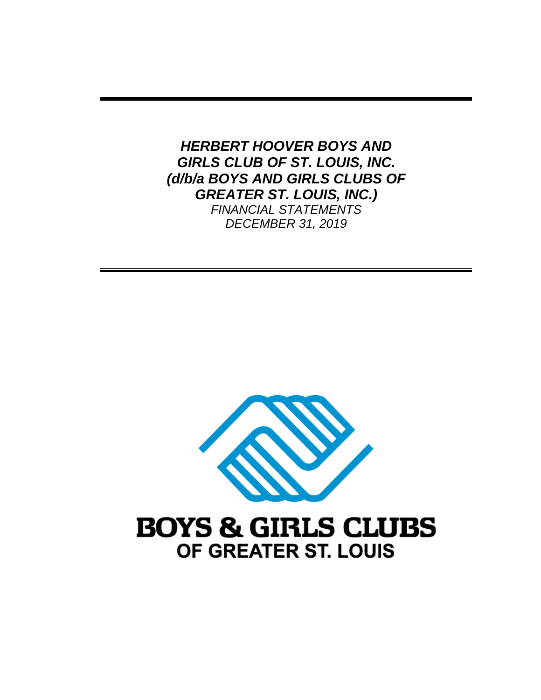*HERBERT HOOVER BOYS AND GIRLS CLUB OF ST. LOUIS, INC. (d/b/a BOYS AND GIRLS CLUBS OF GREATER ST. LOUIS, INC.) FINANCIAL STATEMENTS DECEMBER 31, 2019* 



# **BOYS & GIRLS CLUBS** OF GREATER ST. LOUIS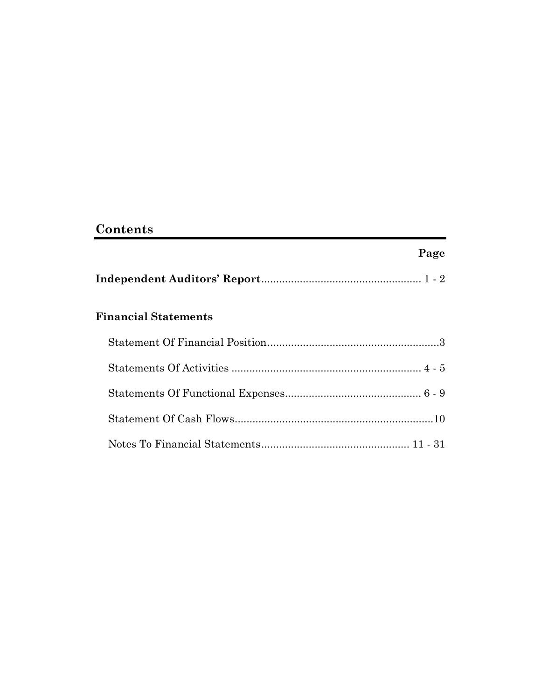# **Contents**

# **Page**

|--|--|--|--|

### **Financial Statements**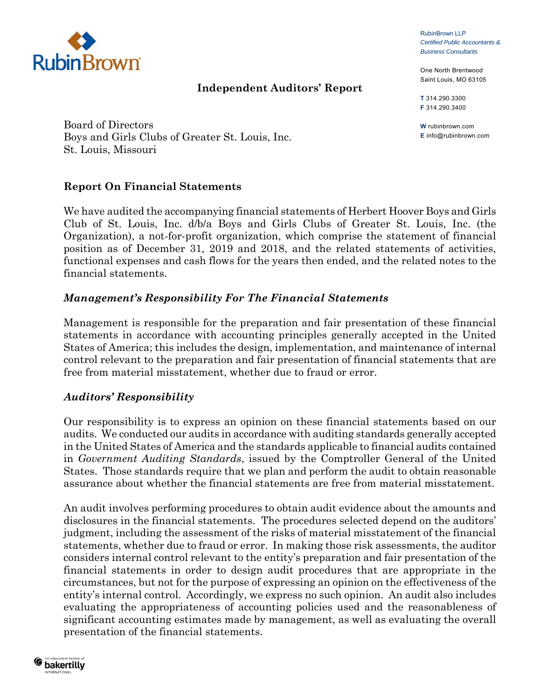

#### **Independent Auditors' Report**

RubinBrown LLP *Certified Public Accountants & Business Consultants*

One North Brentwood Saint Louis, MO 63105

**T** 314.290.3300 **F** 314.290.3400

**W** rubinbrown.com **E** info@rubinbrown.com

Board of Directors Boys and Girls Clubs of Greater St. Louis, Inc. St. Louis, Missouri

#### **Report On Financial Statements**

We have audited the accompanying financial statements of Herbert Hoover Boys and Girls Club of St. Louis, Inc. d/b/a Boys and Girls Clubs of Greater St. Louis, Inc. (the Organization), a not-for-profit organization, which comprise the statement of financial position as of December 31, 2019 and 2018, and the related statements of activities, functional expenses and cash flows for the years then ended, and the related notes to the financial statements.

#### *Management's Responsibility For The Financial Statements*

Management is responsible for the preparation and fair presentation of these financial statements in accordance with accounting principles generally accepted in the United States of America; this includes the design, implementation, and maintenance of internal control relevant to the preparation and fair presentation of financial statements that are free from material misstatement, whether due to fraud or error.

#### *Auditors' Responsibility*

Our responsibility is to express an opinion on these financial statements based on our audits. We conducted our audits in accordance with auditing standards generally accepted in the United States of America and the standards applicable to financial audits contained in *Government Auditing Standards*, issued by the Comptroller General of the United States. Those standards require that we plan and perform the audit to obtain reasonable assurance about whether the financial statements are free from material misstatement.

An audit involves performing procedures to obtain audit evidence about the amounts and disclosures in the financial statements. The procedures selected depend on the auditors' judgment, including the assessment of the risks of material misstatement of the financial statements, whether due to fraud or error. In making those risk assessments, the auditor considers internal control relevant to the entity's preparation and fair presentation of the financial statements in order to design audit procedures that are appropriate in the circumstances, but not for the purpose of expressing an opinion on the effectiveness of the entity's internal control. Accordingly, we express no such opinion. An audit also includes evaluating the appropriateness of accounting policies used and the reasonableness of significant accounting estimates made by management, as well as evaluating the overall presentation of the financial statements.

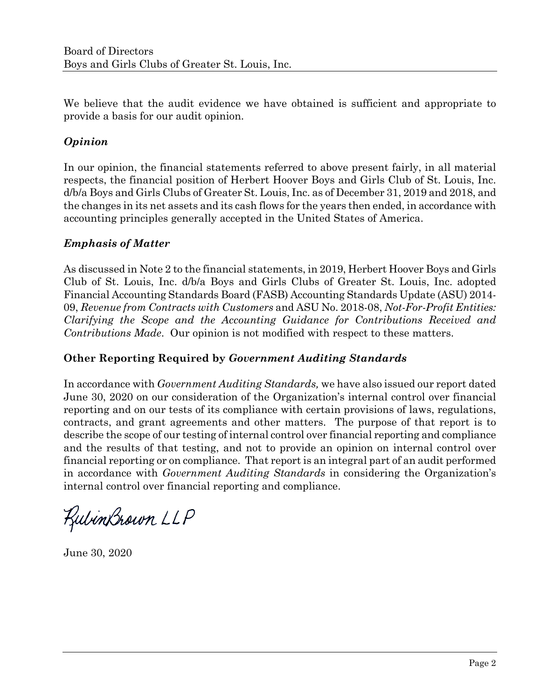We believe that the audit evidence we have obtained is sufficient and appropriate to provide a basis for our audit opinion.

### *Opinion*

In our opinion, the financial statements referred to above present fairly, in all material respects, the financial position of Herbert Hoover Boys and Girls Club of St. Louis, Inc. d/b/a Boys and Girls Clubs of Greater St. Louis, Inc. as of December 31, 2019 and 2018, and the changes in its net assets and its cash flows for the years then ended, in accordance with accounting principles generally accepted in the United States of America.

#### *Emphasis of Matter*

As discussed in Note 2 to the financial statements, in 2019, Herbert Hoover Boys and Girls Club of St. Louis, Inc. d/b/a Boys and Girls Clubs of Greater St. Louis, Inc. adopted Financial Accounting Standards Board (FASB) Accounting Standards Update (ASU) 2014- 09, *Revenue from Contracts with Customers* and ASU No. 2018-08, *Not-For-Profit Entities: Clarifying the Scope and the Accounting Guidance for Contributions Received and Contributions Made*. Our opinion is not modified with respect to these matters.

#### **Other Reporting Required by** *Government Auditing Standards*

In accordance with *Government Auditing Standards,* we have also issued our report dated June 30, 2020 on our consideration of the Organization's internal control over financial reporting and on our tests of its compliance with certain provisions of laws, regulations, contracts, and grant agreements and other matters. The purpose of that report is to describe the scope of our testing of internal control over financial reporting and compliance and the results of that testing, and not to provide an opinion on internal control over financial reporting or on compliance. That report is an integral part of an audit performed in accordance with *Government Auditing Standards* in considering the Organization's internal control over financial reporting and compliance.

RubinBrown LLP

June 30, 2020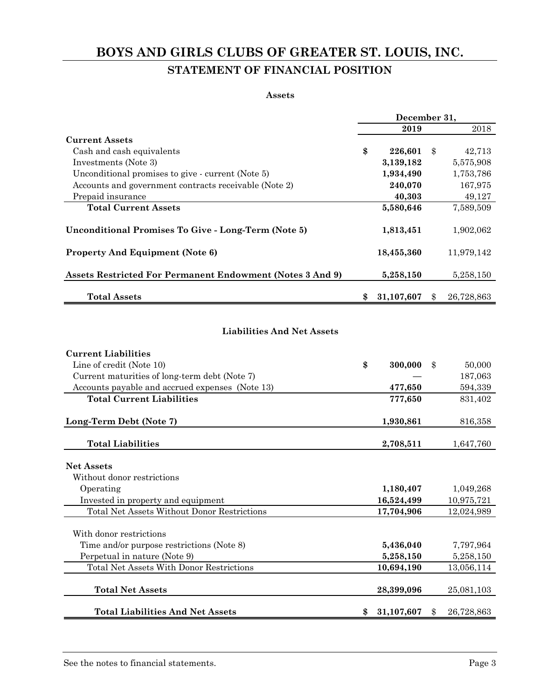# **BOYS AND GIRLS CLUBS OF GREATER ST. LOUIS, INC. STATEMENT OF FINANCIAL POSITION**

#### **Assets**

|                                                                  | December 31,     |                  |
|------------------------------------------------------------------|------------------|------------------|
|                                                                  | 2019             | 2018             |
| <b>Current Assets</b>                                            |                  |                  |
| Cash and cash equivalents                                        | \$<br>226,601    | \$<br>42,713     |
| Investments (Note 3)                                             | 3,139,182        | 5,575,908        |
| Unconditional promises to give - current (Note 5)                | 1,934,490        | 1,753,786        |
| Accounts and government contracts receivable (Note 2)            | 240,070          | 167,975          |
| Prepaid insurance                                                | 40,303           | 49,127           |
| <b>Total Current Assets</b>                                      | 5,580,646        | 7,589,509        |
| Unconditional Promises To Give - Long-Term (Note 5)              | 1,813,451        | 1,902,062        |
| <b>Property And Equipment (Note 6)</b>                           | 18,455,360       | 11,979,142       |
| <b>Assets Restricted For Permanent Endowment (Notes 3 And 9)</b> | 5,258,150        | 5,258,150        |
| <b>Total Assets</b>                                              | \$<br>31,107,607 | \$<br>26,728,863 |
|                                                                  |                  |                  |
| <b>Liabilities And Net Assets</b>                                |                  |                  |
| <b>Current Liabilities</b>                                       |                  |                  |
| Line of credit (Note 10)                                         | \$<br>300,000    | \$<br>50,000     |
| Current maturities of long-term debt (Note 7)                    |                  | 187,063          |
| Accounts payable and accrued expenses (Note 13)                  | 477,650          | 594,339          |
| <b>Total Current Liabilities</b>                                 | 777,650          | 831,402          |
| Long-Term Debt (Note 7)                                          | 1,930,861        | 816,358          |
| <b>Total Liabilities</b>                                         | 2,708,511        | 1,647,760        |
|                                                                  |                  |                  |
| <b>Net Assets</b>                                                |                  |                  |
| Without donor restrictions                                       |                  |                  |
| Operating                                                        | 1,180,407        | 1,049,268        |
| Invested in property and equipment                               | 16,524,499       | 10,975,721       |
| Total Net Assets Without Donor Restrictions                      | 17,704,906       | 12,024,989       |
|                                                                  |                  |                  |
| With donor restrictions                                          |                  |                  |
| Time and/or purpose restrictions (Note 8)                        | 5,436,040        | 7,797,964        |
| Perpetual in nature (Note 9)                                     | 5,258,150        | 5,258,150        |
| <b>Total Net Assets With Donor Restrictions</b>                  | 10,694,190       | 13,056,114       |
| <b>Total Net Assets</b>                                          | 28,399,096       | 25,081,103       |
| <b>Total Liabilities And Net Assets</b>                          | \$<br>31,107,607 | \$<br>26,728,863 |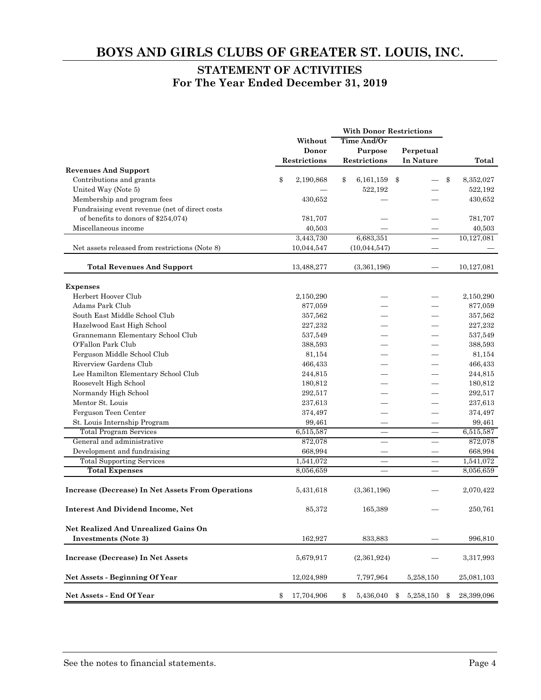#### **STATEMENT OF ACTIVITIES For The Year Ended December 31, 2019**

|                                                   | <b>With Donor Restrictions</b> |    |                          |               |                          |    |            |
|---------------------------------------------------|--------------------------------|----|--------------------------|---------------|--------------------------|----|------------|
|                                                   | Without                        |    | Time And/Or              |               |                          |    |            |
|                                                   | Donor                          |    | Purpose                  |               | Perpetual                |    |            |
|                                                   | Restrictions                   |    | Restrictions             |               | In Nature                |    | Total      |
| <b>Revenues And Support</b>                       |                                |    |                          |               |                          |    |            |
| Contributions and grants                          | \$<br>2,190,868                | \$ | 6, 161, 159              | $\frac{3}{2}$ |                          | \$ | 8,352,027  |
| United Way (Note 5)                               |                                |    | 522,192                  |               |                          |    | 522,192    |
| Membership and program fees                       | 430,652                        |    |                          |               |                          |    | 430,652    |
| Fundraising event revenue (net of direct costs    |                                |    |                          |               |                          |    |            |
| of benefits to donors of \$254,074)               | 781,707                        |    |                          |               |                          |    | 781,707    |
| Miscellaneous income                              | 40,503                         |    |                          |               |                          |    | 40,503     |
|                                                   | 3,443,730                      |    | 6,683,351                |               | $\overline{\phantom{0}}$ |    | 10,127,081 |
| Net assets released from restrictions (Note 8)    | 10,044,547                     |    | (10,044,547)             |               |                          |    |            |
| <b>Total Revenues And Support</b>                 | 13,488,277                     |    | (3,361,196)              |               |                          |    | 10,127,081 |
| <b>Expenses</b>                                   |                                |    |                          |               |                          |    |            |
| Herbert Hoover Club                               | 2,150,290                      |    |                          |               |                          |    | 2,150,290  |
| Adams Park Club                                   | 877,059                        |    |                          |               |                          |    | 877,059    |
| South East Middle School Club                     | 357,562                        |    |                          |               |                          |    | 357,562    |
| Hazelwood East High School                        | 227,232                        |    |                          |               |                          |    | 227,232    |
| Grannemann Elementary School Club                 | 537,549                        |    |                          |               |                          |    | 537,549    |
| O'Fallon Park Club                                | 388,593                        |    |                          |               |                          |    | 388,593    |
| Ferguson Middle School Club                       | 81,154                         |    |                          |               |                          |    | 81,154     |
| Riverview Gardens Club                            | 466,433                        |    |                          |               |                          |    | 466,433    |
| Lee Hamilton Elementary School Club               | 244,815                        |    |                          |               |                          |    | 244,815    |
| Roosevelt High School                             | 180,812                        |    |                          |               |                          |    | 180,812    |
| Normandy High School                              | 292,517                        |    |                          |               |                          |    | 292,517    |
| Mentor St. Louis                                  | 237,613                        |    |                          |               |                          |    | 237,613    |
| Ferguson Teen Center                              | 374,497                        |    |                          |               |                          |    | 374,497    |
| St. Louis Internship Program                      | 99,461                         |    |                          |               |                          |    | 99,461     |
| <b>Total Program Services</b>                     | 6,515,587                      |    | $\overline{\phantom{0}}$ |               | $\equiv$                 |    | 6,515,587  |
| General and administrative                        | 872,078                        |    |                          |               |                          |    | 872,078    |
| Development and fundraising                       | 668,994                        |    |                          |               |                          |    | 668,994    |
| <b>Total Supporting Services</b>                  | 1,541,072                      |    |                          |               | $\overline{\phantom{0}}$ |    | 1,541,072  |
| <b>Total Expenses</b>                             | 8,056,659                      |    |                          |               |                          |    | 8,056,659  |
|                                                   |                                |    |                          |               |                          |    |            |
| Increase (Decrease) In Net Assets From Operations | 5,431,618                      |    | (3,361,196)              |               |                          |    | 2,070,422  |
| <b>Interest And Dividend Income, Net</b>          | 85,372                         |    | 165,389                  |               |                          |    | 250,761    |
| Net Realized And Unrealized Gains On              |                                |    |                          |               |                          |    |            |
| Investments (Note 3)                              | 162,927                        |    | 833,883                  |               |                          |    | 996,810    |
| Increase (Decrease) In Net Assets                 | 5,679,917                      |    | (2,361,924)              |               |                          |    | 3,317,993  |
| Net Assets - Beginning Of Year                    | 12,024,989                     |    | 7,797,964                |               | 5,258,150                |    | 25,081,103 |
| Net Assets - End Of Year                          | \$<br>17,704,906               | \$ | 5,436,040                | \$            | 5,258,150                | \$ | 28,399,096 |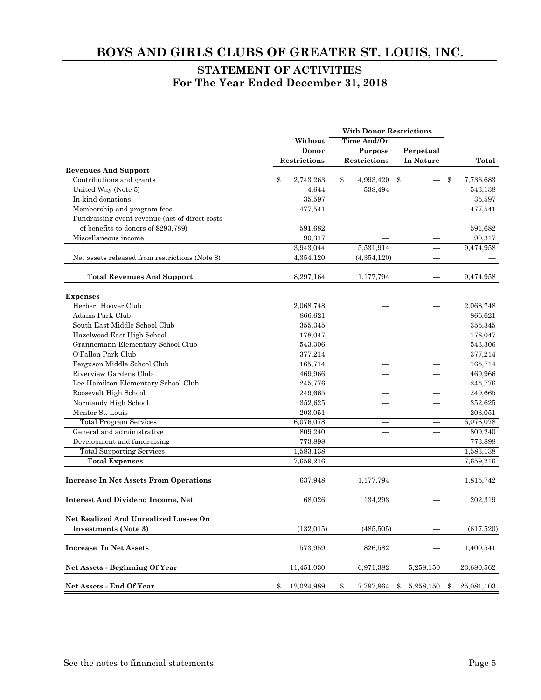#### **STATEMENT OF ACTIVITIES For The Year Ended December 31, 2018**

|                                                | <b>With Donor Restrictions</b> |              |    |                          |                 |                          |       |            |
|------------------------------------------------|--------------------------------|--------------|----|--------------------------|-----------------|--------------------------|-------|------------|
|                                                |                                | Without      |    | Time And/Or              |                 |                          |       |            |
|                                                |                                | Donor        |    | Purpose                  | Perpetual       |                          |       |            |
|                                                |                                | Restrictions |    | <b>Restrictions</b>      | In Nature       |                          |       | Total      |
| <b>Revenues And Support</b>                    |                                |              |    |                          |                 |                          |       |            |
| Contributions and grants                       | \$                             | 2,743,263    | \$ | 4,993,420                | -\$             |                          | $\$\$ | 7,736,683  |
| United Way (Note 5)                            |                                | 4,644        |    | 538,494                  |                 |                          |       | 543,138    |
| In-kind donations                              |                                | 35,597       |    |                          |                 |                          |       | 35,597     |
| Membership and program fees                    |                                | 477,541      |    |                          |                 |                          |       | 477,541    |
| Fundraising event revenue (net of direct costs |                                |              |    |                          |                 |                          |       |            |
| of benefits to donors of \$293,789)            |                                | 591,682      |    |                          |                 |                          |       | 591,682    |
| Miscellaneous income                           |                                | 90,317       |    |                          |                 |                          |       | 90,317     |
|                                                |                                | 3,943,044    |    | 5,531,914                |                 | $\overline{\phantom{0}}$ |       | 9,474,958  |
| Net assets released from restrictions (Note 8) |                                | 4,354,120    |    | (4, 354, 120)            |                 |                          |       |            |
| <b>Total Revenues And Support</b>              |                                | 8,297,164    |    | 1,177,794                |                 |                          |       | 9,474,958  |
| <b>Expenses</b>                                |                                |              |    |                          |                 |                          |       |            |
| Herbert Hoover Club                            |                                | 2,068,748    |    |                          |                 |                          |       | 2,068,748  |
| Adams Park Club                                |                                | 866,621      |    |                          |                 |                          |       | 866,621    |
| South East Middle School Club                  |                                | 355,345      |    |                          |                 |                          |       | 355,345    |
| Hazelwood East High School                     |                                | 178,047      |    |                          |                 |                          |       | 178,047    |
| Grannemann Elementary School Club              |                                | 543,306      |    |                          |                 |                          |       | 543,306    |
| O'Fallon Park Club                             |                                | 377,214      |    |                          |                 |                          |       | 377,214    |
| Ferguson Middle School Club                    |                                | 165,714      |    |                          |                 |                          |       | 165,714    |
| Riverview Gardens Club                         |                                | 469,966      |    |                          |                 |                          |       | 469,966    |
| Lee Hamilton Elementary School Club            |                                | 245,776      |    |                          |                 |                          |       | 245,776    |
| Roosevelt High School                          |                                | 249,665      |    |                          |                 |                          |       | 249,665    |
| Normandy High School                           |                                | 352,625      |    |                          |                 |                          |       | 352,625    |
| Mentor St. Louis                               |                                | 203,051      |    |                          |                 |                          |       | 203,051    |
| <b>Total Program Services</b>                  |                                | 6,076,078    |    | $\overline{\phantom{0}}$ |                 |                          |       | 6,076,078  |
| General and administrative                     |                                | 809,240      |    | $\overline{\phantom{0}}$ |                 | $\overline{\phantom{0}}$ |       | 809,240    |
| Development and fundraising                    |                                | 773,898      |    |                          |                 |                          |       | 773,898    |
| <b>Total Supporting Services</b>               |                                | 1,583,138    |    |                          |                 |                          |       | 1,583,138  |
| <b>Total Expenses</b>                          |                                | 7,659,216    |    |                          |                 |                          |       | 7,659,216  |
|                                                |                                | 637,948      |    |                          |                 |                          |       |            |
| <b>Increase In Net Assets From Operations</b>  |                                |              |    | 1,177,794                |                 |                          |       | 1,815,742  |
| <b>Interest And Dividend Income, Net</b>       |                                | 68,026       |    | 134,293                  |                 |                          |       | 202,319    |
| <b>Net Realized And Unrealized Losses On</b>   |                                |              |    |                          |                 |                          |       |            |
| <b>Investments</b> (Note 3)                    |                                | (132, 015)   |    | (485, 505)               |                 |                          |       | (617,520)  |
| <b>Increase In Net Assets</b>                  |                                | 573,959      |    | 826,582                  |                 |                          |       | 1,400,541  |
| <b>Net Assets - Beginning Of Year</b>          |                                | 11,451,030   |    | 6,971,382                | 5,258,150       |                          |       | 23,680,562 |
| Net Assets - End Of Year                       | \$                             | 12,024,989   | \$ | 7,797,964                | 5,258,150<br>\$ |                          | \$    | 25,081,103 |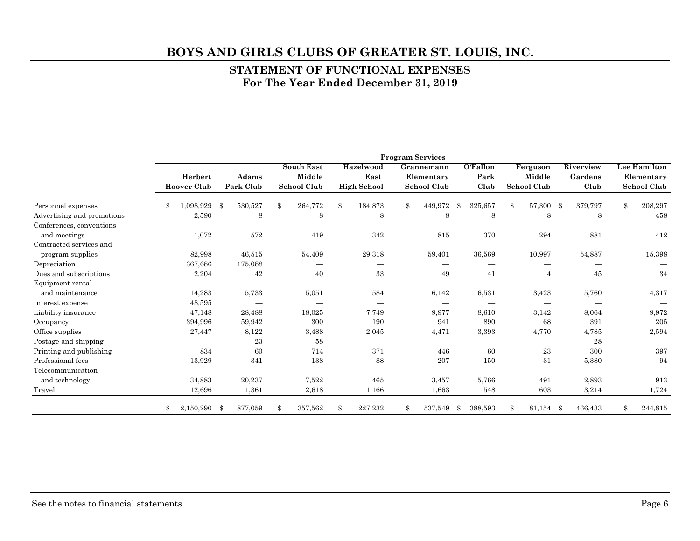#### **STATEMENT OF FUNCTIONAL EXPENSES For The Year Ended December 31, 2019**

|                            |                    |                          |                    |                          | <b>Program Services</b> |                           |                            |           |                    |
|----------------------------|--------------------|--------------------------|--------------------|--------------------------|-------------------------|---------------------------|----------------------------|-----------|--------------------|
|                            |                    |                          | <b>South East</b>  | Hazelwood                | Grannemann              | O'Fallon                  | Ferguson                   | Riverview | Lee Hamilton       |
|                            | Herbert            | Adams                    | Middle             | East                     | Elementary              | Park                      | Middle                     | Gardens   | Elementary         |
|                            | <b>Hoover Club</b> | Park Club                | <b>School Club</b> | <b>High School</b>       | School Club             | Club                      | School Club                | Club      | <b>School Club</b> |
| Personnel expenses         | 1.098.929<br>ደ     | 530,527<br>$\mathbf{\$}$ | \$<br>264.772      | $\mathcal{S}$<br>184,873 | \$<br>449,972           | 325,657<br>$\mathbf{\Re}$ | $\mathbf{\$}$<br>57.300 \$ | 379,797   | \$<br>208,297      |
| Advertising and promotions | 2,590              | 8                        | 8                  | 8                        | 8                       | 8                         | 8                          | 8         | 458                |
| Conferences, conventions   |                    |                          |                    |                          |                         |                           |                            |           |                    |
| and meetings               | 1,072              | 572                      | 419                | 342                      | 815                     | 370                       | 294                        | 881       | 412                |
| Contracted services and    |                    |                          |                    |                          |                         |                           |                            |           |                    |
| program supplies           | 82,998             | 46,515                   | 54,409             | 29,318                   | 59,401                  | 36,569                    | 10,997                     | 54,887    | 15,398             |
| Depreciation               | 367,686            | 175,088                  |                    |                          |                         |                           |                            |           |                    |
| Dues and subscriptions     | 2,204              | 42                       | 40                 | 33                       | 49                      | 41                        | $\overline{4}$             | 45        | 34                 |
| Equipment rental           |                    |                          |                    |                          |                         |                           |                            |           |                    |
| and maintenance            | 14,283             | 5,733                    | 5,051              | 584                      | 6,142                   | 6,531                     | 3,423                      | 5,760     | 4,317              |
| Interest expense           | 48,595             |                          |                    |                          |                         |                           |                            |           |                    |
| Liability insurance        | 47,148             | 28,488                   | 18,025             | 7.749                    | 9,977                   | 8.610                     | 3,142                      | 8,064     | 9.972              |
| Occupancy                  | 394,996            | 59,942                   | 300                | 190                      | 941                     | 890                       | 68                         | 391       | 205                |
| Office supplies            | 27,447             | 8,122                    | 3,488              | 2,045                    | 4,471                   | 3.393                     | 4,770                      | 4,785     | 2,594              |
| Postage and shipping       |                    | 23                       | 58                 |                          | --                      |                           | --                         | 28        |                    |
| Printing and publishing    | 834                | 60                       | 714                | 371                      | 446                     | 60                        | 23                         | 300       | 397                |
| Professional fees          | 13,929             | 341                      | 138                | 88                       | 207                     | 150                       | 31                         | 5,380     | 94                 |
| Telecommunication          |                    |                          |                    |                          |                         |                           |                            |           |                    |
| and technology             | 34,883             | 20,237                   | 7,522              | 465                      | 3,457                   | 5.766                     | 491                        | 2,893     | 913                |
| Travel                     | 12,696             | 1,361                    | 2,618              | 1,166                    | 1,663                   | 548                       | 603                        | 3,214     | 1,724              |
|                            | \$<br>2,150,290    | 877,059<br>-8            | 357,562<br>ዳ       | 227,232                  | 537,549                 | 388,593<br>\$             | 81,154 \$<br>\$            | 466,433   | 244,815<br>\$      |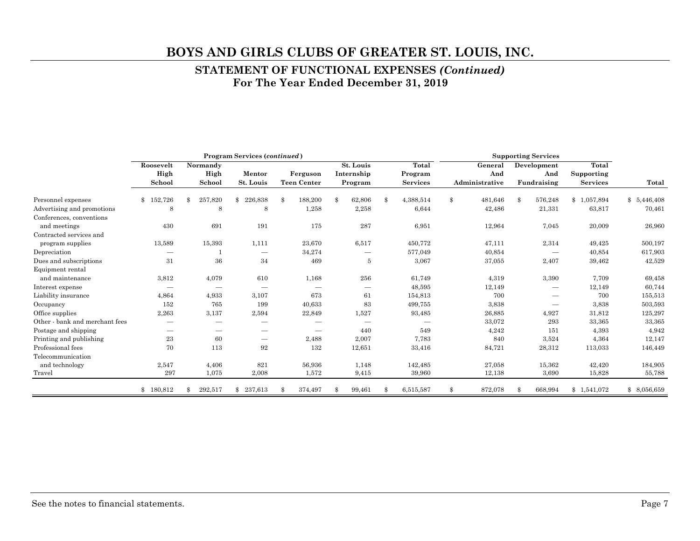#### **STATEMENT OF FUNCTIONAL EXPENSES** *(Continued)*  **For The Year Ended December 31, 2019**

|                                | <b>Program Services (continued)</b> |                            |                                 |                                |                                       |              |                                     | <b>Supporting Services</b>       |                                   |                                        |              |
|--------------------------------|-------------------------------------|----------------------------|---------------------------------|--------------------------------|---------------------------------------|--------------|-------------------------------------|----------------------------------|-----------------------------------|----------------------------------------|--------------|
|                                | Roosevelt<br>High<br>School         | Normandy<br>High<br>School | Mentor<br>St. Louis             | Ferguson<br><b>Teen Center</b> | St. Louis<br>Internship<br>Program    |              | Total<br>Program<br><b>Services</b> | General<br>And<br>Administrative | Development<br>And<br>Fundraising | Total<br>Supporting<br><b>Services</b> | Total        |
| Personnel expenses             | 152,726<br>$\mathbb{S}$             | 257,820<br>\$              | 226,838<br>\$                   | \$<br>188,200                  | \$<br>62,806                          | $\mathbb{S}$ | 4,388,514                           | \$<br>481,646                    | \$<br>576,248                     | \$<br>1,057,894                        | \$5,446,408  |
| Advertising and promotions     | 8                                   | 8                          | 8                               | 1,258                          | 2,258                                 |              | 6,644                               | 42,486                           | 21,331                            | 63,817                                 | 70,461       |
| Conferences, conventions       |                                     |                            |                                 |                                |                                       |              |                                     |                                  |                                   |                                        |              |
| and meetings                   | 430                                 | 691                        | 191                             | 175                            | 287                                   |              | 6,951                               | 12,964                           | 7,045                             | 20,009                                 | 26,960       |
| Contracted services and        |                                     |                            |                                 |                                |                                       |              |                                     |                                  |                                   |                                        |              |
| program supplies               | 13,589                              | 15,393                     | 1,111                           | 23,670                         | 6,517                                 |              | 450,772                             | 47,111                           | 2,314                             | 49,425                                 | 500,197      |
| Depreciation                   | $\hspace{0.1mm}-\hspace{0.1mm}$     |                            | $\hspace{0.1mm}-\hspace{0.1mm}$ | 34,274                         | $\hspace{0.1mm}-\hspace{0.1mm}$       |              | 577,049                             | 40,854                           |                                   | 40,854                                 | 617,903      |
| Dues and subscriptions         | 31                                  | 36                         | 34                              | 469                            | 5                                     |              | 3,067                               | 37,055                           | 2,407                             | 39,462                                 | 42,529       |
| Equipment rental               |                                     |                            |                                 |                                |                                       |              |                                     |                                  |                                   |                                        |              |
| and maintenance                | 3,812                               | 4,079                      | 610                             | 1,168                          | 256                                   |              | 61,749                              | 4,319                            | 3,390                             | 7,709                                  | 69,458       |
| Interest expense               |                                     |                            | $\hspace{0.05cm}$               |                                | $\hspace{1.0cm} \rule{1.5cm}{0.15cm}$ |              | 48,595                              | 12,149                           | $\overline{\phantom{0}}$          | 12,149                                 | 60,744       |
| Liability insurance            | 4,864                               | 4,933                      | 3,107                           | 673                            | 61                                    |              | 154,813                             | 700                              | $\overline{\phantom{0}}$          | 700                                    | 155,513      |
| Occupancy                      | 152                                 | 765                        | 199                             | 40,633                         | 83                                    |              | 499,755                             | 3,838                            |                                   | 3,838                                  | 503,593      |
| Office supplies                | 2,263                               | 3,137                      | 2,594                           | 22,849                         | 1,527                                 |              | 93,485                              | 26,885                           | 4,927                             | 31,812                                 | 125,297      |
| Other - bank and merchant fees |                                     |                            |                                 |                                | $\hspace{1.0cm} \rule{1.5cm}{0.15cm}$ |              |                                     | 33,072                           | 293                               | 33,365                                 | 33,365       |
| Postage and shipping           |                                     | $\overline{\phantom{0}}$   |                                 |                                | 440                                   |              | 549                                 | 4,242                            | 151                               | 4,393                                  | 4,942        |
| Printing and publishing        | 23                                  | 60                         |                                 | 2,488                          | 2,007                                 |              | 7,783                               | 840                              | 3,524                             | 4,364                                  | 12,147       |
| Professional fees              | 70                                  | 113                        | 92                              | 132                            | 12,651                                |              | 33,416                              | 84,721                           | 28,312                            | 113,033                                | 146,449      |
| Telecommunication              |                                     |                            |                                 |                                |                                       |              |                                     |                                  |                                   |                                        |              |
| and technology                 | 2,547                               | 4,406                      | 821                             | 56,936                         | 1,148                                 |              | 142,485                             | 27,058                           | 15,362                            | 42,420                                 | 184,905      |
| Travel                         | 297                                 | 1,075                      | 2,008                           | 1,572                          | 9,415                                 |              | 39,960                              | 12,138                           | 3,690                             | 15,828                                 | 55,788       |
|                                | \$180,812                           | 292,517<br>\$              | $\mathbb{S}$<br>237,613         | \$<br>374,497                  | 99,461<br>ዳ                           | Я\$          | 6,515,587                           | 872,078<br>\$                    | -\$<br>668,994                    | \$1,541,072                            | \$ 8,056,659 |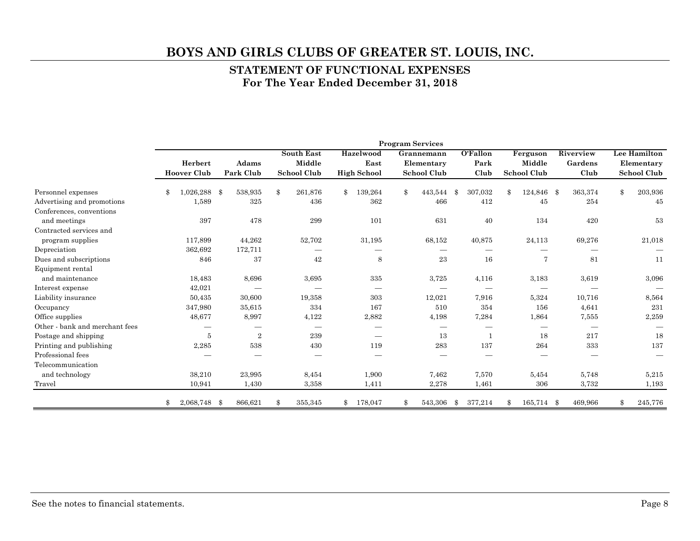#### **STATEMENT OF FUNCTIONAL EXPENSES For The Year Ended December 31, 2018**

|                                |                    |                |                    |                          | <b>Program Services</b> |                 |                    |           |                          |
|--------------------------------|--------------------|----------------|--------------------|--------------------------|-------------------------|-----------------|--------------------|-----------|--------------------------|
|                                |                    |                | <b>South East</b>  | Hazelwood                | Grannemann              | <b>O'Fallon</b> | Ferguson           | Riverview | Lee Hamilton             |
|                                | Herbert            | Adams          | Middle             | East                     | Elementary              | Park            | Middle             | Gardens   | Elementary               |
|                                | <b>Hoover Club</b> | Park Club      | <b>School Club</b> | <b>High School</b>       | <b>School Club</b>      | Club            | <b>School Club</b> | Club      | <b>School Club</b>       |
| Personnel expenses             | 1,026,288          | 538,935<br>-\$ | 261,876<br>\$      | \$<br>139,264            | \$<br>443.544           | 307,032<br>\$   | \$<br>124,846 \$   | 363,374   | $\mathbf{\$}$<br>203,936 |
| Advertising and promotions     | 1,589              | 325            | 436                | 362                      | 466                     | 412             | 45                 | 254       | 45                       |
| Conferences, conventions       |                    |                |                    |                          |                         |                 |                    |           |                          |
| and meetings                   | 397                | 478            | 299                | 101                      | 631                     | 40              | 134                | 420       | 53                       |
| Contracted services and        |                    |                |                    |                          |                         |                 |                    |           |                          |
| program supplies               | 117,899            | 44,262         | 52,702             | 31,195                   | 68,152                  | 40,875          | 24,113             | 69,276    | 21,018                   |
| Depreciation                   | 362,692            | 172,711        |                    |                          |                         |                 |                    |           |                          |
| Dues and subscriptions         | 846                | 37             | 42                 | 8                        | 23                      | 16              | $\overline{7}$     | 81        | 11                       |
| Equipment rental               |                    |                |                    |                          |                         |                 |                    |           |                          |
| and maintenance                | 18,483             | 8,696          | 3.695              | 335                      | 3,725                   | 4,116           | 3,183              | 3,619     | 3,096                    |
| Interest expense               | 42,021             |                |                    |                          | --                      |                 | -                  |           |                          |
| Liability insurance            | 50,435             | 30,600         | 19,358             | 303                      | 12,021                  | 7,916           | 5.324              | 10.716    | 8,564                    |
| Occupancy                      | 347,980            | 35,615         | 334                | 167                      | 510                     | 354             | 156                | 4,641     | 231                      |
| Office supplies                | 48,677             | 8,997          | 4,122              | 2,882                    | 4,198                   | 7,284           | 1,864              | 7,555     | 2,259                    |
| Other - bank and merchant fees |                    |                |                    |                          |                         |                 |                    |           |                          |
| Postage and shipping           | 5                  | $\overline{2}$ | 239                | $\hspace{0.05cm}$        | 13                      |                 | 18                 | 217       | 18                       |
| Printing and publishing        | 2,285              | 538            | 430                | 119                      | 283                     | 137             | 264                | 333       | 137                      |
| Professional fees              |                    |                |                    |                          |                         |                 |                    |           |                          |
| Telecommunication              |                    |                |                    |                          |                         |                 |                    |           |                          |
| and technology                 | 38,210             | 23,995         | 8,454              | 1,900                    | 7,462                   | 7,570           | 5.454              | 5,748     | 5,215                    |
| Travel                         | 10,941             | 1,430          | 3.358              | 1,411                    | 2,278                   | 1,461           | 306                | 3,732     | 1,193                    |
|                                | 2,068,748          | 866,621<br>-\$ | 355,345<br>\$      | 178,047<br>$\frac{3}{2}$ | \$<br>543,306           | 377,214<br>\$   | \$<br>165,714 \$   | 469,966   | \$<br>245,776            |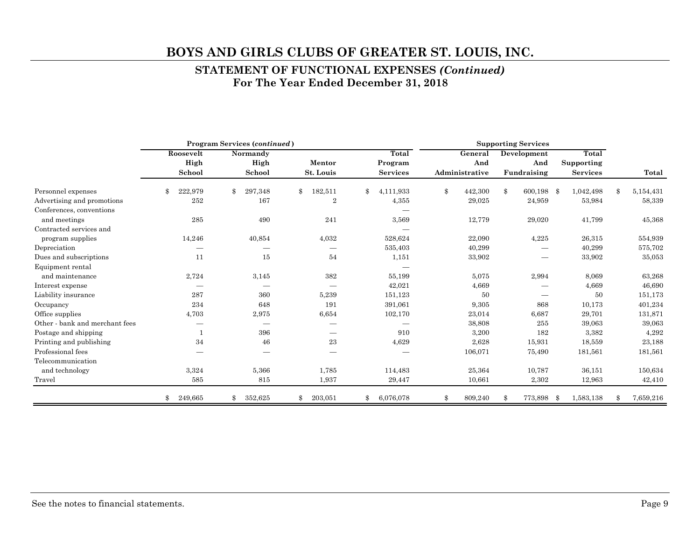#### **STATEMENT OF FUNCTIONAL EXPENSES** *(Continued)*  **For The Year Ended December 31, 2018**

|                                |                | <b>Program Services (continued)</b> |                |                 | <b>Supporting Services</b> |                  |                   |                 |
|--------------------------------|----------------|-------------------------------------|----------------|-----------------|----------------------------|------------------|-------------------|-----------------|
|                                | Roosevelt      | Normandy                            |                | Total           | General                    | Development      | Total             |                 |
|                                | High           | High                                | Mentor         | Program         | And                        | And              | Supporting        |                 |
|                                | School         | School                              | St. Louis      | <b>Services</b> | Administrative             | Fundraising      | <b>Services</b>   | Total           |
| Personnel expenses             | . Я<br>222,979 | 297,348<br>\$                       | 182,511<br>\$  | \$<br>4,111,933 | \$<br>442,300              | \$<br>600,198 \$ | 1,042,498         | 5,154,431<br>\$ |
| Advertising and promotions     | 252            | 167                                 | $\overline{2}$ | 4,355           | 29,025                     | 24,959           | 53,984            | 58,339          |
| Conferences, conventions       |                |                                     |                |                 |                            |                  |                   |                 |
| and meetings                   | 285            | 490                                 | 241            | 3,569           | 12,779                     | 29,020           | 41,799            | 45,368          |
| Contracted services and        |                |                                     |                |                 |                            |                  |                   |                 |
| program supplies               | 14,246         | 40,854                              | 4,032          | 528,624         | 22,090                     | 4,225            | 26,315            | 554,939         |
| Depreciation                   |                |                                     | --             | 535,403         | 40,299                     |                  | 40,299            | 575,702         |
| Dues and subscriptions         | 11             | 15                                  | 54             | 1,151           | 33,902                     |                  | 33,902            | 35,053          |
| Equipment rental               |                |                                     |                |                 |                            |                  |                   |                 |
| and maintenance                | 2,724          | 3,145                               | 382            | 55,199          | 5,075                      | 2,994            | 8,069             | 63,268          |
| Interest expense               |                |                                     |                | 42,021          | 4,669                      |                  | 4,669             | 46,690          |
| Liability insurance            | 287            | 360                                 | 5,239          | 151,123         | 50                         | -                | 50                | 151,173         |
| Occupancy                      | 234            | 648                                 | 191            | 391,061         | 9,305                      | 868              | 10,173            | 401,234         |
| Office supplies                | 4,703          | 2,975                               | 6,654          | 102,170         | 23,014                     | 6,687            | 29,701            | 131,871         |
| Other - bank and merchant fees |                |                                     | --             |                 | 38,808                     | 255              | 39,063            | 39,063          |
| Postage and shipping           |                | 396                                 | -              | 910             | 3,200                      | 182              | 3,382             | 4,292           |
| Printing and publishing        | 34             | 46                                  | 23             | 4,629           | 2,628                      | 15,931           | 18,559            | 23,188          |
| Professional fees              |                |                                     | --             |                 | 106,071                    | 75,490           | 181,561           | 181,561         |
| Telecommunication              |                |                                     |                |                 |                            |                  |                   |                 |
| and technology                 | 3,324          | 5,366                               | 1,785          | 114,483         | 25,364                     | 10,787           | 36,151            | 150,634         |
| Travel                         | 585            | 815                                 | 1,937          | 29,447          | 10,661                     | 2,302            | 12,963            | 42,410          |
|                                | 249,665<br>\$  | 352,625<br>\$                       | 203,051<br>\$  | \$<br>6,076,078 | \$<br>809,240              | 773,898<br>\$    | 1,583,138<br>- \$ | 7,659,216<br>\$ |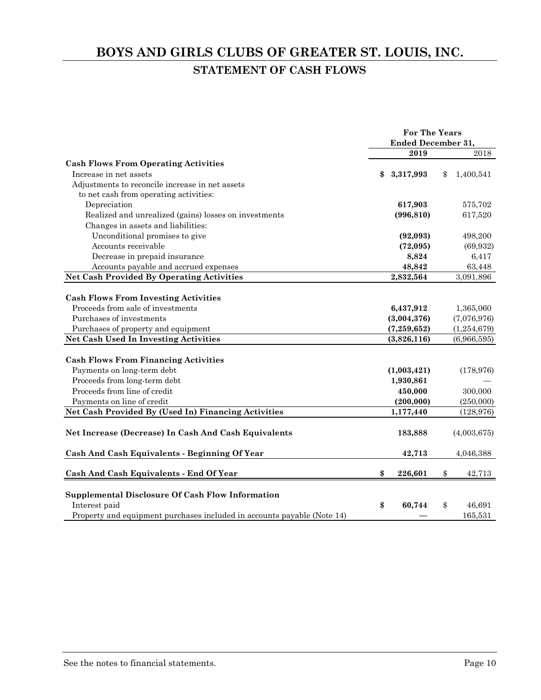# **BOYS AND GIRLS CLUBS OF GREATER ST. LOUIS, INC. STATEMENT OF CASH FLOWS**

|                                                                         | <b>For The Years</b>      |                 |
|-------------------------------------------------------------------------|---------------------------|-----------------|
|                                                                         | <b>Ended December 31,</b> |                 |
|                                                                         | 2019                      | 2018            |
| <b>Cash Flows From Operating Activities</b>                             |                           |                 |
| Increase in net assets                                                  | \$<br>3,317,993           | \$<br>1,400,541 |
| Adjustments to reconcile increase in net assets                         |                           |                 |
| to net cash from operating activities:                                  |                           |                 |
| Depreciation                                                            | 617,903                   | 575,702         |
| Realized and unrealized (gains) losses on investments                   | (996, 810)                | 617,520         |
| Changes in assets and liabilities:                                      |                           |                 |
| Unconditional promises to give                                          | (92,093)                  | 498,200         |
| Accounts receivable                                                     | (72, 095)                 | (69, 932)       |
| Decrease in prepaid insurance                                           | 8,824                     | 6,417           |
| Accounts payable and accrued expenses                                   | 48,842                    | 63,448          |
| <b>Net Cash Provided By Operating Activities</b>                        | 2,832,564                 | 3,091,896       |
|                                                                         |                           |                 |
| <b>Cash Flows From Investing Activities</b>                             |                           |                 |
| Proceeds from sale of investments                                       | 6,437,912                 | 1,365,060       |
| Purchases of investments                                                | (3,004,376)               | (7,076,976)     |
| Purchases of property and equipment                                     | (7, 259, 652)             | (1, 254, 679)   |
| <b>Net Cash Used In Investing Activities</b>                            | (3,826,116)               | (6,966,595)     |
|                                                                         |                           |                 |
| <b>Cash Flows From Financing Activities</b>                             |                           |                 |
| Payments on long-term debt                                              | (1,003,421)               | (178, 976)      |
| Proceeds from long-term debt                                            | 1,930,861                 |                 |
| Proceeds from line of credit                                            | 450,000                   | 300,000         |
| Payments on line of credit                                              | (200,000)                 | (250,000)       |
| Net Cash Provided By (Used In) Financing Activities                     | 1,177,440                 | (128, 976)      |
|                                                                         |                           |                 |
| Net Increase (Decrease) In Cash And Cash Equivalents                    | 183,888                   | (4,003,675)     |
|                                                                         |                           |                 |
| Cash And Cash Equivalents - Beginning Of Year                           | 42,713                    | 4,046,388       |
|                                                                         |                           |                 |
| Cash And Cash Equivalents - End Of Year                                 | \$<br>226,601             | \$<br>42,713    |
| <b>Supplemental Disclosure Of Cash Flow Information</b>                 |                           |                 |
| Interest paid                                                           | \$<br>60,744              | \$<br>46,691    |
| Property and equipment purchases included in accounts payable (Note 14) |                           | 165,531         |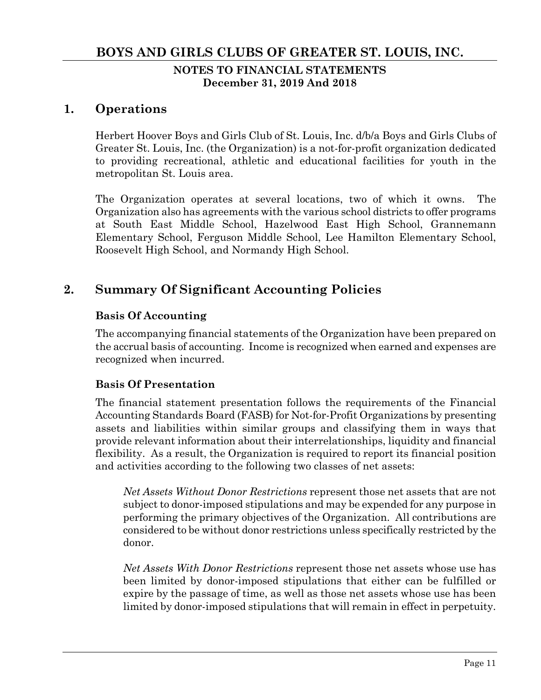#### **NOTES TO FINANCIAL STATEMENTS December 31, 2019 And 2018**

### **1. Operations**

Herbert Hoover Boys and Girls Club of St. Louis, Inc. d/b/a Boys and Girls Clubs of Greater St. Louis, Inc. (the Organization) is a not-for-profit organization dedicated to providing recreational, athletic and educational facilities for youth in the metropolitan St. Louis area.

The Organization operates at several locations, two of which it owns. The Organization also has agreements with the various school districts to offer programs at South East Middle School, Hazelwood East High School, Grannemann Elementary School, Ferguson Middle School, Lee Hamilton Elementary School, Roosevelt High School, and Normandy High School.

# **2. Summary Of Significant Accounting Policies**

#### **Basis Of Accounting**

The accompanying financial statements of the Organization have been prepared on the accrual basis of accounting. Income is recognized when earned and expenses are recognized when incurred.

#### **Basis Of Presentation**

The financial statement presentation follows the requirements of the Financial Accounting Standards Board (FASB) for Not-for-Profit Organizations by presenting assets and liabilities within similar groups and classifying them in ways that provide relevant information about their interrelationships, liquidity and financial flexibility. As a result, the Organization is required to report its financial position and activities according to the following two classes of net assets:

*Net Assets Without Donor Restrictions* represent those net assets that are not subject to donor-imposed stipulations and may be expended for any purpose in performing the primary objectives of the Organization. All contributions are considered to be without donor restrictions unless specifically restricted by the donor.

*Net Assets With Donor Restrictions* represent those net assets whose use has been limited by donor-imposed stipulations that either can be fulfilled or expire by the passage of time, as well as those net assets whose use has been limited by donor-imposed stipulations that will remain in effect in perpetuity.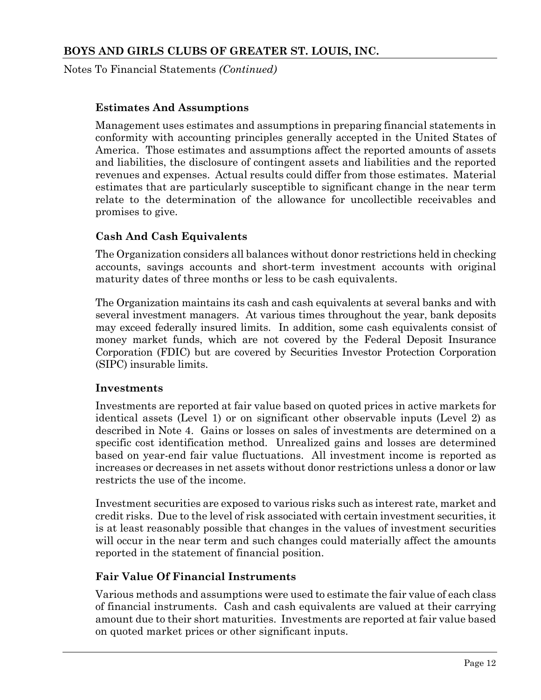Notes To Financial Statements *(Continued)*

#### **Estimates And Assumptions**

Management uses estimates and assumptions in preparing financial statements in conformity with accounting principles generally accepted in the United States of America. Those estimates and assumptions affect the reported amounts of assets and liabilities, the disclosure of contingent assets and liabilities and the reported revenues and expenses. Actual results could differ from those estimates. Material estimates that are particularly susceptible to significant change in the near term relate to the determination of the allowance for uncollectible receivables and promises to give.

#### **Cash And Cash Equivalents**

The Organization considers all balances without donor restrictions held in checking accounts, savings accounts and short-term investment accounts with original maturity dates of three months or less to be cash equivalents.

The Organization maintains its cash and cash equivalents at several banks and with several investment managers. At various times throughout the year, bank deposits may exceed federally insured limits. In addition, some cash equivalents consist of money market funds, which are not covered by the Federal Deposit Insurance Corporation (FDIC) but are covered by Securities Investor Protection Corporation (SIPC) insurable limits.

#### **Investments**

Investments are reported at fair value based on quoted prices in active markets for identical assets (Level 1) or on significant other observable inputs (Level 2) as described in Note 4. Gains or losses on sales of investments are determined on a specific cost identification method. Unrealized gains and losses are determined based on year-end fair value fluctuations. All investment income is reported as increases or decreases in net assets without donor restrictions unless a donor or law restricts the use of the income.

Investment securities are exposed to various risks such as interest rate, market and credit risks. Due to the level of risk associated with certain investment securities, it is at least reasonably possible that changes in the values of investment securities will occur in the near term and such changes could materially affect the amounts reported in the statement of financial position.

#### **Fair Value Of Financial Instruments**

Various methods and assumptions were used to estimate the fair value of each class of financial instruments. Cash and cash equivalents are valued at their carrying amount due to their short maturities. Investments are reported at fair value based on quoted market prices or other significant inputs.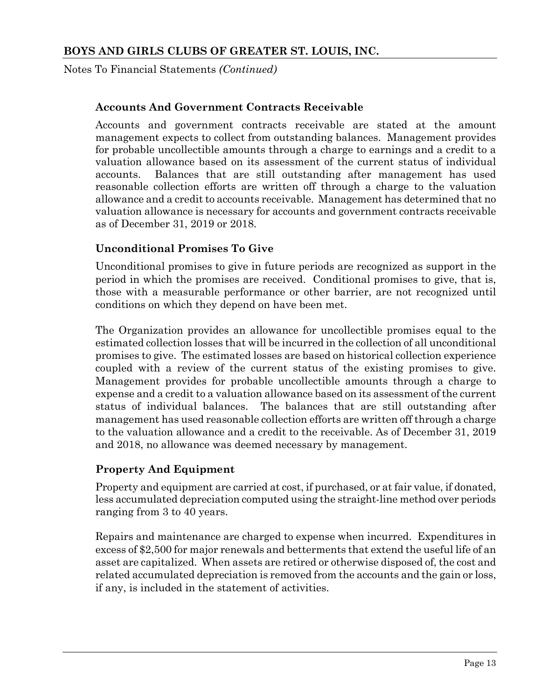Notes To Financial Statements *(Continued)*

#### **Accounts And Government Contracts Receivable**

Accounts and government contracts receivable are stated at the amount management expects to collect from outstanding balances. Management provides for probable uncollectible amounts through a charge to earnings and a credit to a valuation allowance based on its assessment of the current status of individual accounts. Balances that are still outstanding after management has used reasonable collection efforts are written off through a charge to the valuation allowance and a credit to accounts receivable. Management has determined that no valuation allowance is necessary for accounts and government contracts receivable as of December 31, 2019 or 2018.

#### **Unconditional Promises To Give**

Unconditional promises to give in future periods are recognized as support in the period in which the promises are received. Conditional promises to give, that is, those with a measurable performance or other barrier, are not recognized until conditions on which they depend on have been met.

The Organization provides an allowance for uncollectible promises equal to the estimated collection losses that will be incurred in the collection of all unconditional promises to give. The estimated losses are based on historical collection experience coupled with a review of the current status of the existing promises to give. Management provides for probable uncollectible amounts through a charge to expense and a credit to a valuation allowance based on its assessment of the current status of individual balances. The balances that are still outstanding after management has used reasonable collection efforts are written off through a charge to the valuation allowance and a credit to the receivable. As of December 31, 2019 and 2018, no allowance was deemed necessary by management.

#### **Property And Equipment**

Property and equipment are carried at cost, if purchased, or at fair value, if donated, less accumulated depreciation computed using the straight-line method over periods ranging from 3 to 40 years.

Repairs and maintenance are charged to expense when incurred. Expenditures in excess of \$2,500 for major renewals and betterments that extend the useful life of an asset are capitalized. When assets are retired or otherwise disposed of, the cost and related accumulated depreciation is removed from the accounts and the gain or loss, if any, is included in the statement of activities.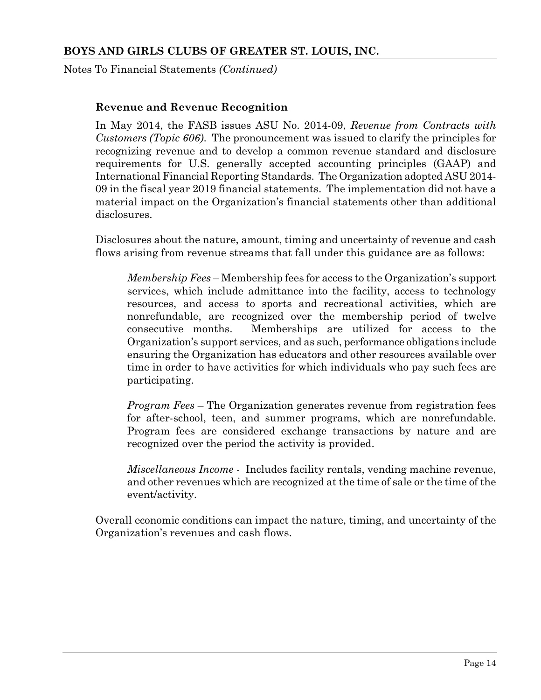Notes To Financial Statements *(Continued)*

#### **Revenue and Revenue Recognition**

In May 2014, the FASB issues ASU No. 2014-09, *Revenue from Contracts with Customers (Topic 606)*. The pronouncement was issued to clarify the principles for recognizing revenue and to develop a common revenue standard and disclosure requirements for U.S. generally accepted accounting principles (GAAP) and International Financial Reporting Standards. The Organization adopted ASU 2014- 09 in the fiscal year 2019 financial statements. The implementation did not have a material impact on the Organization's financial statements other than additional disclosures.

Disclosures about the nature, amount, timing and uncertainty of revenue and cash flows arising from revenue streams that fall under this guidance are as follows:

*Membership Fees* – Membership fees for access to the Organization's support services, which include admittance into the facility, access to technology resources, and access to sports and recreational activities, which are nonrefundable, are recognized over the membership period of twelve consecutive months. Memberships are utilized for access to the Organization's support services, and as such, performance obligations include ensuring the Organization has educators and other resources available over time in order to have activities for which individuals who pay such fees are participating.

*Program Fees* – The Organization generates revenue from registration fees for after-school, teen, and summer programs, which are nonrefundable. Program fees are considered exchange transactions by nature and are recognized over the period the activity is provided.

*Miscellaneous Income* - Includes facility rentals, vending machine revenue, and other revenues which are recognized at the time of sale or the time of the event/activity.

Overall economic conditions can impact the nature, timing, and uncertainty of the Organization's revenues and cash flows.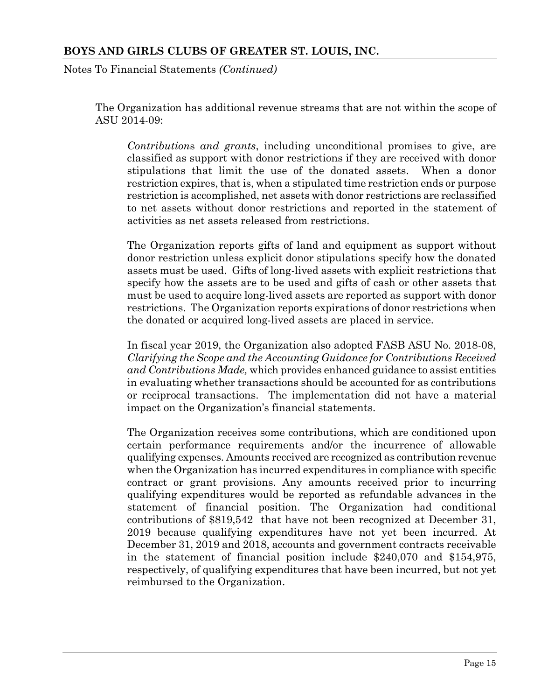Notes To Financial Statements *(Continued)*

The Organization has additional revenue streams that are not within the scope of ASU 2014-09:

*Contribution*s *and grants*, including unconditional promises to give, are classified as support with donor restrictions if they are received with donor stipulations that limit the use of the donated assets. When a donor restriction expires, that is, when a stipulated time restriction ends or purpose restriction is accomplished, net assets with donor restrictions are reclassified to net assets without donor restrictions and reported in the statement of activities as net assets released from restrictions.

The Organization reports gifts of land and equipment as support without donor restriction unless explicit donor stipulations specify how the donated assets must be used. Gifts of long-lived assets with explicit restrictions that specify how the assets are to be used and gifts of cash or other assets that must be used to acquire long-lived assets are reported as support with donor restrictions. The Organization reports expirations of donor restrictions when the donated or acquired long-lived assets are placed in service.

In fiscal year 2019, the Organization also adopted FASB ASU No. 2018-08, *Clarifying the Scope and the Accounting Guidance for Contributions Received and Contributions Made,* which provides enhanced guidance to assist entities in evaluating whether transactions should be accounted for as contributions or reciprocal transactions. The implementation did not have a material impact on the Organization's financial statements.

The Organization receives some contributions, which are conditioned upon certain performance requirements and/or the incurrence of allowable qualifying expenses. Amounts received are recognized as contribution revenue when the Organization has incurred expenditures in compliance with specific contract or grant provisions. Any amounts received prior to incurring qualifying expenditures would be reported as refundable advances in the statement of financial position. The Organization had conditional contributions of \$819,542 that have not been recognized at December 31, 2019 because qualifying expenditures have not yet been incurred. At December 31, 2019 and 2018, accounts and government contracts receivable in the statement of financial position include \$240,070 and \$154,975, respectively, of qualifying expenditures that have been incurred, but not yet reimbursed to the Organization.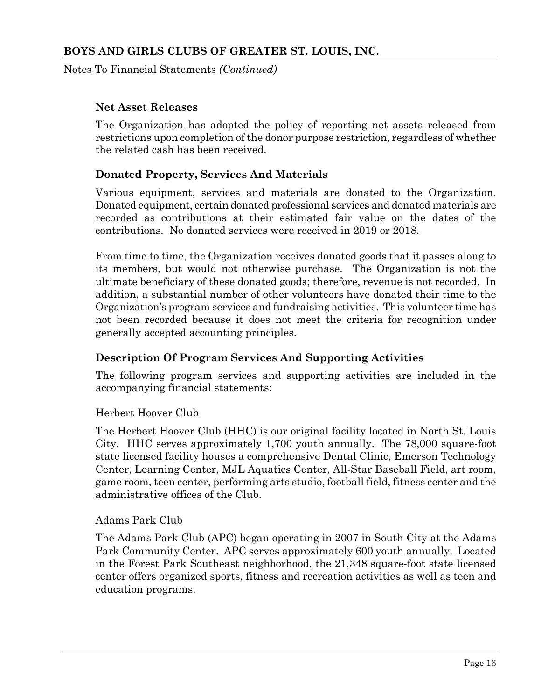Notes To Financial Statements *(Continued)*

#### **Net Asset Releases**

The Organization has adopted the policy of reporting net assets released from restrictions upon completion of the donor purpose restriction, regardless of whether the related cash has been received.

#### **Donated Property, Services And Materials**

Various equipment, services and materials are donated to the Organization. Donated equipment, certain donated professional services and donated materials are recorded as contributions at their estimated fair value on the dates of the contributions. No donated services were received in 2019 or 2018.

From time to time, the Organization receives donated goods that it passes along to its members, but would not otherwise purchase. The Organization is not the ultimate beneficiary of these donated goods; therefore, revenue is not recorded. In addition, a substantial number of other volunteers have donated their time to the Organization's program services and fundraising activities. This volunteer time has not been recorded because it does not meet the criteria for recognition under generally accepted accounting principles.

#### **Description Of Program Services And Supporting Activities**

The following program services and supporting activities are included in the accompanying financial statements:

#### Herbert Hoover Club

The Herbert Hoover Club (HHC) is our original facility located in North St. Louis City. HHC serves approximately 1,700 youth annually. The 78,000 square-foot state licensed facility houses a comprehensive Dental Clinic, Emerson Technology Center, Learning Center, MJL Aquatics Center, All-Star Baseball Field, art room, game room, teen center, performing arts studio, football field, fitness center and the administrative offices of the Club.

#### Adams Park Club

The Adams Park Club (APC) began operating in 2007 in South City at the Adams Park Community Center. APC serves approximately 600 youth annually. Located in the Forest Park Southeast neighborhood, the 21,348 square-foot state licensed center offers organized sports, fitness and recreation activities as well as teen and education programs.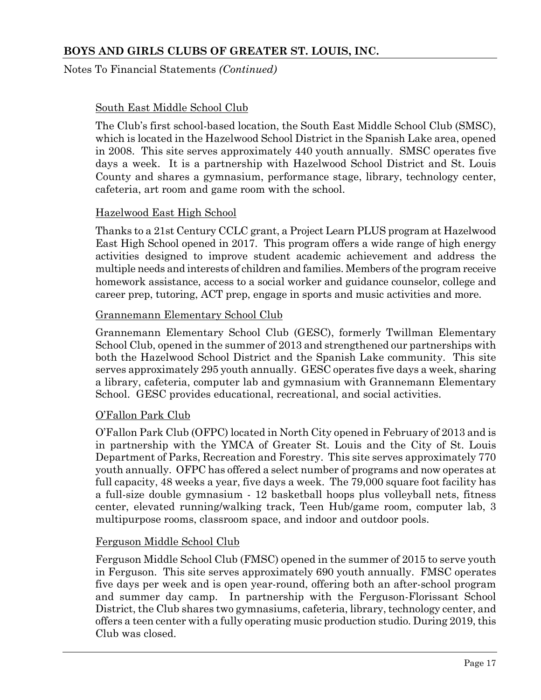Notes To Financial Statements *(Continued)*

#### South East Middle School Club

The Club's first school-based location, the South East Middle School Club (SMSC), which is located in the Hazelwood School District in the Spanish Lake area, opened in 2008. This site serves approximately 440 youth annually. SMSC operates five days a week. It is a partnership with Hazelwood School District and St. Louis County and shares a gymnasium, performance stage, library, technology center, cafeteria, art room and game room with the school.

#### Hazelwood East High School

Thanks to a 21st Century CCLC grant, a Project Learn PLUS program at Hazelwood East High School opened in 2017. This program offers a wide range of high energy activities designed to improve student academic achievement and address the multiple needs and interests of children and families. Members of the program receive homework assistance, access to a social worker and guidance counselor, college and career prep, tutoring, ACT prep, engage in sports and music activities and more.

#### Grannemann Elementary School Club

Grannemann Elementary School Club (GESC), formerly Twillman Elementary School Club, opened in the summer of 2013 and strengthened our partnerships with both the Hazelwood School District and the Spanish Lake community. This site serves approximately 295 youth annually. GESC operates five days a week, sharing a library, cafeteria, computer lab and gymnasium with Grannemann Elementary School. GESC provides educational, recreational, and social activities.

#### O'Fallon Park Club

O'Fallon Park Club (OFPC) located in North City opened in February of 2013 and is in partnership with the YMCA of Greater St. Louis and the City of St. Louis Department of Parks, Recreation and Forestry. This site serves approximately 770 youth annually. OFPC has offered a select number of programs and now operates at full capacity, 48 weeks a year, five days a week. The 79,000 square foot facility has a full-size double gymnasium - 12 basketball hoops plus volleyball nets, fitness center, elevated running/walking track, Teen Hub/game room, computer lab, 3 multipurpose rooms, classroom space, and indoor and outdoor pools.

#### Ferguson Middle School Club

Ferguson Middle School Club (FMSC) opened in the summer of 2015 to serve youth in Ferguson. This site serves approximately 690 youth annually. FMSC operates five days per week and is open year-round, offering both an after-school program and summer day camp. In partnership with the Ferguson-Florissant School District, the Club shares two gymnasiums, cafeteria, library, technology center, and offers a teen center with a fully operating music production studio. During 2019, this Club was closed.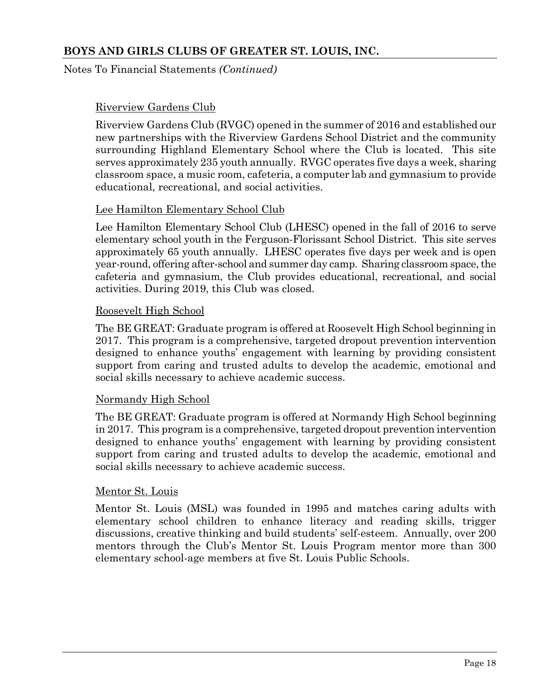Notes To Financial Statements *(Continued)*

#### Riverview Gardens Club

Riverview Gardens Club (RVGC) opened in the summer of 2016 and established our new partnerships with the Riverview Gardens School District and the community surrounding Highland Elementary School where the Club is located. This site serves approximately 235 youth annually. RVGC operates five days a week, sharing classroom space, a music room, cafeteria, a computer lab and gymnasium to provide educational, recreational, and social activities.

#### Lee Hamilton Elementary School Club

Lee Hamilton Elementary School Club (LHESC) opened in the fall of 2016 to serve elementary school youth in the Ferguson-Florissant School District. This site serves approximately 65 youth annually. LHESC operates five days per week and is open year-round, offering after-school and summer day camp. Sharing classroom space, the cafeteria and gymnasium, the Club provides educational, recreational, and social activities. During 2019, this Club was closed.

#### Roosevelt High School

The BE GREAT: Graduate program is offered at Roosevelt High School beginning in 2017. This program is a comprehensive, targeted dropout prevention intervention designed to enhance youths' engagement with learning by providing consistent support from caring and trusted adults to develop the academic, emotional and social skills necessary to achieve academic success.

#### Normandy High School

The BE GREAT: Graduate program is offered at Normandy High School beginning in 2017. This program is a comprehensive, targeted dropout prevention intervention designed to enhance youths' engagement with learning by providing consistent support from caring and trusted adults to develop the academic, emotional and social skills necessary to achieve academic success.

#### Mentor St. Louis

Mentor St. Louis (MSL) was founded in 1995 and matches caring adults with elementary school children to enhance literacy and reading skills, trigger discussions, creative thinking and build students' self-esteem. Annually, over 200 mentors through the Club's Mentor St. Louis Program mentor more than 300 elementary school-age members at five St. Louis Public Schools.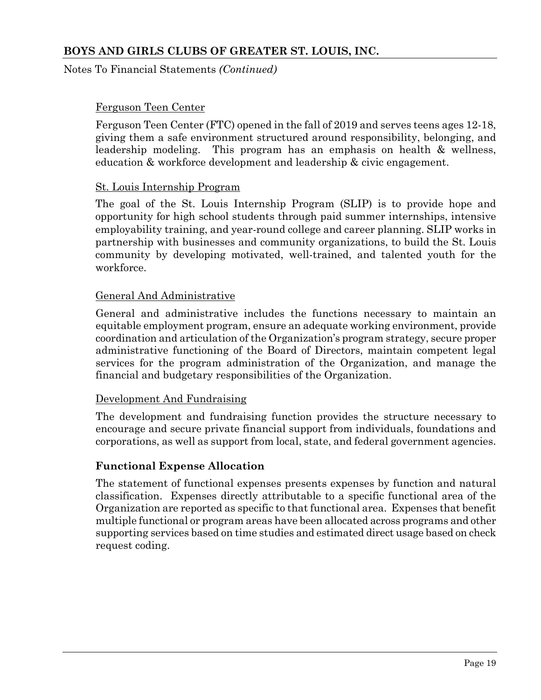Notes To Financial Statements *(Continued)*

#### Ferguson Teen Center

Ferguson Teen Center (FTC) opened in the fall of 2019 and serves teens ages 12-18, giving them a safe environment structured around responsibility, belonging, and leadership modeling. This program has an emphasis on health & wellness, education & workforce development and leadership & civic engagement.

#### St. Louis Internship Program

The goal of the St. Louis Internship Program (SLIP) is to provide hope and opportunity for high school students through paid summer internships, intensive employability training, and year-round college and career planning. SLIP works in partnership with businesses and community organizations, to build the St. Louis community by developing motivated, well-trained, and talented youth for the workforce.

#### General And Administrative

General and administrative includes the functions necessary to maintain an equitable employment program, ensure an adequate working environment, provide coordination and articulation of the Organization's program strategy, secure proper administrative functioning of the Board of Directors, maintain competent legal services for the program administration of the Organization, and manage the financial and budgetary responsibilities of the Organization.

#### Development And Fundraising

The development and fundraising function provides the structure necessary to encourage and secure private financial support from individuals, foundations and corporations, as well as support from local, state, and federal government agencies.

#### **Functional Expense Allocation**

The statement of functional expenses presents expenses by function and natural classification. Expenses directly attributable to a specific functional area of the Organization are reported as specific to that functional area. Expenses that benefit multiple functional or program areas have been allocated across programs and other supporting services based on time studies and estimated direct usage based on check request coding.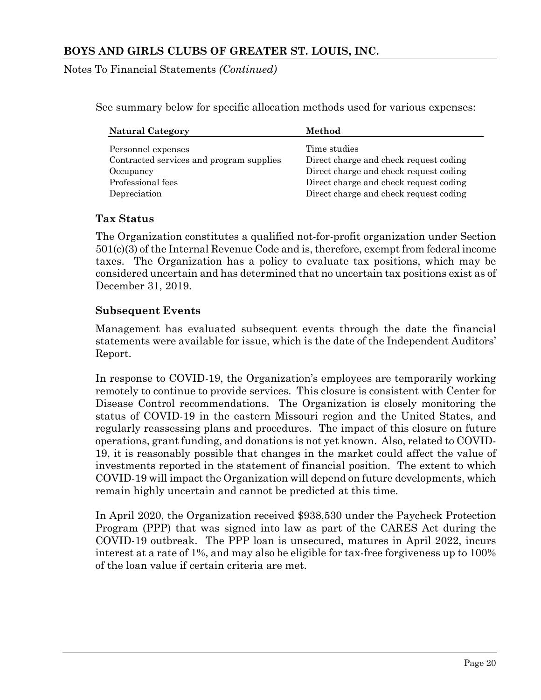Notes To Financial Statements *(Continued)*

See summary below for specific allocation methods used for various expenses:

| Personnel expenses<br>Time studies<br>Contracted services and program supplies<br>Direct charge and check request coding<br>Direct charge and check request coding<br>Occupancy<br>Professional fees<br>Direct charge and check request coding | <b>Natural Category</b> | Method                                 |
|------------------------------------------------------------------------------------------------------------------------------------------------------------------------------------------------------------------------------------------------|-------------------------|----------------------------------------|
|                                                                                                                                                                                                                                                | Depreciation            | Direct charge and check request coding |

#### **Tax Status**

The Organization constitutes a qualified not-for-profit organization under Section 501(c)(3) of the Internal Revenue Code and is, therefore, exempt from federal income taxes. The Organization has a policy to evaluate tax positions, which may be considered uncertain and has determined that no uncertain tax positions exist as of December 31, 2019.

#### **Subsequent Events**

Management has evaluated subsequent events through the date the financial statements were available for issue, which is the date of the Independent Auditors' Report.

In response to COVID-19, the Organization's employees are temporarily working remotely to continue to provide services. This closure is consistent with Center for Disease Control recommendations. The Organization is closely monitoring the status of COVID-19 in the eastern Missouri region and the United States, and regularly reassessing plans and procedures. The impact of this closure on future operations, grant funding, and donations is not yet known. Also, related to COVID-19, it is reasonably possible that changes in the market could affect the value of investments reported in the statement of financial position. The extent to which COVID-19 will impact the Organization will depend on future developments, which remain highly uncertain and cannot be predicted at this time.

In April 2020, the Organization received \$938,530 under the Paycheck Protection Program (PPP) that was signed into law as part of the CARES Act during the COVID-19 outbreak. The PPP loan is unsecured, matures in April 2022, incurs interest at a rate of 1%, and may also be eligible for tax-free forgiveness up to 100% of the loan value if certain criteria are met.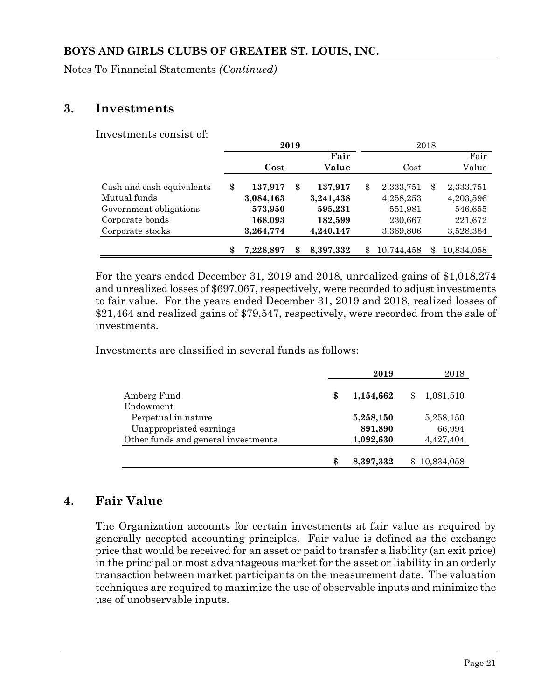Notes To Financial Statements *(Continued)*

#### **3. Investments**

Investments consist of:

|                           | 2019            |    |           | 2018            |    |            |
|---------------------------|-----------------|----|-----------|-----------------|----|------------|
|                           | Fair            |    |           |                 |    | Fair       |
|                           | Cost            |    | Value     | Cost            |    | Value      |
| Cash and cash equivalents | \$<br>137,917   | \$ | 137,917   | \$<br>2,333,751 | \$ | 2,333,751  |
| Mutual funds              | 3,084,163       |    | 3,241,438 | 4,258,253       |    | 4,203,596  |
| Government obligations    | 573,950         |    | 595,231   | 551,981         |    | 546,655    |
| Corporate bonds           | 168,093         |    | 182,599   | 230,667         |    | 221,672    |
| Corporate stocks          | 3,264,774       |    | 4,240,147 | 3,369,806       |    | 3,528,384  |
|                           | \$<br>7,228,897 | \$ | 8,397,332 | 10,744,458      | \$ | 10,834,058 |

For the years ended December 31, 2019 and 2018, unrealized gains of \$1,018,274 and unrealized losses of \$697,067, respectively, were recorded to adjust investments to fair value. For the years ended December 31, 2019 and 2018, realized losses of \$21,464 and realized gains of \$79,547, respectively, were recorded from the sale of investments.

Investments are classified in several funds as follows:

|                                     | 2019            | 2018       |
|-------------------------------------|-----------------|------------|
| Amberg Fund                         | \$<br>1,154,662 | 1,081,510  |
| Endowment                           |                 |            |
| Perpetual in nature                 | 5,258,150       | 5,258,150  |
| Unappropriated earnings             | 891,890         | 66,994     |
| Other funds and general investments | 1,092,630       | 4,427,404  |
|                                     | \$<br>8,397,332 | 10,834,058 |

# **4. Fair Value**

The Organization accounts for certain investments at fair value as required by generally accepted accounting principles. Fair value is defined as the exchange price that would be received for an asset or paid to transfer a liability (an exit price) in the principal or most advantageous market for the asset or liability in an orderly transaction between market participants on the measurement date. The valuation techniques are required to maximize the use of observable inputs and minimize the use of unobservable inputs.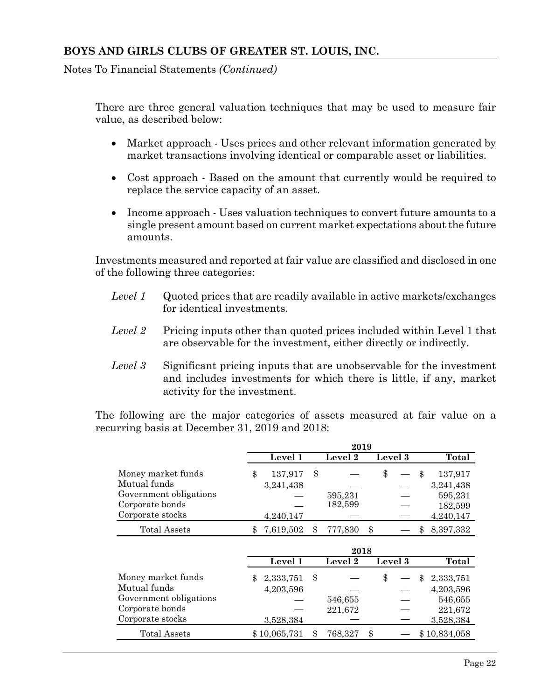Notes To Financial Statements *(Continued)*

There are three general valuation techniques that may be used to measure fair value, as described below:

- Market approach Uses prices and other relevant information generated by market transactions involving identical or comparable asset or liabilities.
- Cost approach Based on the amount that currently would be required to replace the service capacity of an asset.
- Income approach Uses valuation techniques to convert future amounts to a single present amount based on current market expectations about the future amounts.

Investments measured and reported at fair value are classified and disclosed in one of the following three categories:

- *Level 1* Quoted prices that are readily available in active markets/exchanges for identical investments.
- *Level 2* Pricing inputs other than quoted prices included within Level 1 that are observable for the investment, either directly or indirectly.
- *Level 3* Significant pricing inputs that are unobservable for the investment and includes investments for which there is little, if any, market activity for the investment.

The following are the major categories of assets measured at fair value on a recurring basis at December 31, 2019 and 2018:

|                        | 2019 |           |    |                      |         |  |    |           |
|------------------------|------|-----------|----|----------------------|---------|--|----|-----------|
|                        |      | Level 1   |    | Level 2              | Level 3 |  |    | Total     |
| Money market funds     | \$   | 137,917   | \$ |                      | \$      |  | \$ | 137,917   |
| Mutual funds           |      | 3,241,438 |    |                      |         |  |    | 3,241,438 |
| Government obligations |      |           |    | 595,231              |         |  |    | 595,231   |
| Corporate bonds        |      |           |    | 182,599              |         |  |    | 182,599   |
| Corporate stocks       |      | 4,240,147 |    |                      |         |  |    | 4,240,147 |
| <b>Total Assets</b>    | \$   | 7,619,502 | \$ | 777,830              | \$      |  | \$ | 8,397,332 |
|                        |      |           |    |                      |         |  |    |           |
|                        |      |           |    | 2018                 |         |  |    |           |
|                        |      | Level $1$ |    | Level $\overline{2}$ | Level 3 |  |    | Total     |
| Money market funds     | \$   | 2,333,751 | \$ |                      | \$      |  | \$ | 2,333,751 |
| Mutual funds           |      | 4,203,596 |    |                      |         |  |    | 4,203,596 |
| Government obligations |      |           |    | 546,655              |         |  |    | 546,655   |
| Corporate bonds        |      |           |    | 221,672              |         |  |    | 221,672   |
| Corporate stocks       |      | 3,528,384 |    |                      |         |  |    | 3,528,384 |

Total Assets  $$10,065,731 \$ 768,327 \$ \longrightarrow $10,834,058$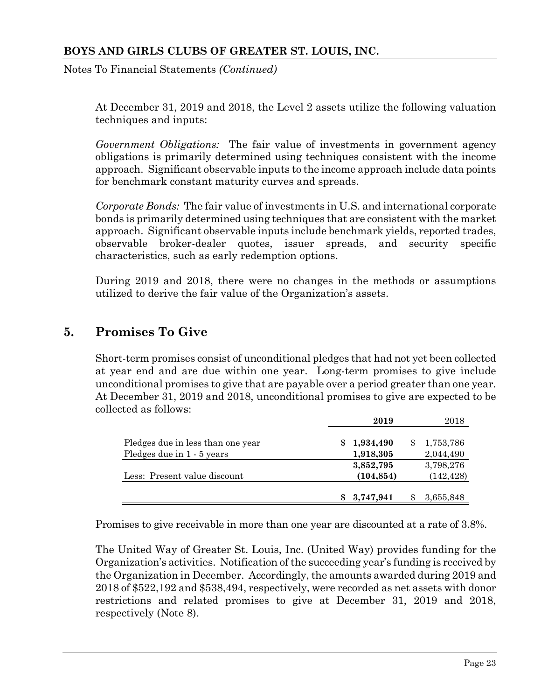Notes To Financial Statements *(Continued)*

At December 31, 2019 and 2018, the Level 2 assets utilize the following valuation techniques and inputs:

*Government Obligations:* The fair value of investments in government agency obligations is primarily determined using techniques consistent with the income approach. Significant observable inputs to the income approach include data points for benchmark constant maturity curves and spreads.

*Corporate Bonds:* The fair value of investments in U.S. and international corporate bonds is primarily determined using techniques that are consistent with the market approach. Significant observable inputs include benchmark yields, reported trades, observable broker-dealer quotes, issuer spreads, and security specific characteristics, such as early redemption options.

During 2019 and 2018, there were no changes in the methods or assumptions utilized to derive the fair value of the Organization's assets.

# **5. Promises To Give**

Short-term promises consist of unconditional pledges that had not yet been collected at year end and are due within one year. Long-term promises to give include unconditional promises to give that are payable over a period greater than one year. At December 31, 2019 and 2018, unconditional promises to give are expected to be collected as follows:

|                                   | 2019       | 2018       |
|-----------------------------------|------------|------------|
| Pledges due in less than one year | 1,934,490  | 1,753,786  |
| Pledges due in 1 - 5 years        | 1,918,305  | 2,044,490  |
|                                   | 3,852,795  | 3,798,276  |
| Less: Present value discount      | (104, 854) | (142, 428) |
|                                   | 3,747,941  | 3,655,848  |

Promises to give receivable in more than one year are discounted at a rate of 3.8%.

The United Way of Greater St. Louis, Inc. (United Way) provides funding for the Organization's activities. Notification of the succeeding year's funding is received by the Organization in December. Accordingly, the amounts awarded during 2019 and 2018 of \$522,192 and \$538,494, respectively, were recorded as net assets with donor restrictions and related promises to give at December 31, 2019 and 2018, respectively (Note 8).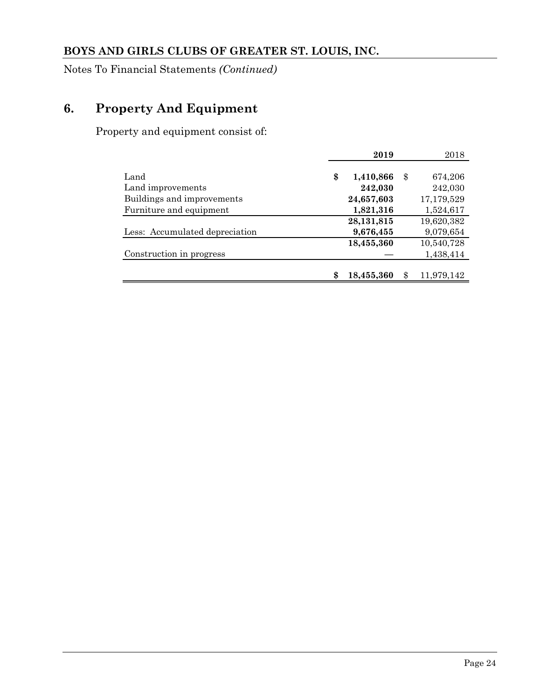Notes To Financial Statements *(Continued)*

# **6. Property And Equipment**

Property and equipment consist of:

|                                | 2019             | 2018          |
|--------------------------------|------------------|---------------|
| Land                           |                  |               |
|                                | \$<br>1,410,866  | \$<br>674,206 |
| Land improvements              | 242,030          | 242,030       |
| Buildings and improvements     | 24,657,603       | 17,179,529    |
| Furniture and equipment        | 1,821,316        | 1,524,617     |
|                                | 28,131,815       | 19,620,382    |
| Less: Accumulated depreciation | 9,676,455        | 9,079,654     |
|                                | 18,455,360       | 10,540,728    |
| Construction in progress       |                  | 1,438,414     |
|                                |                  |               |
|                                | \$<br>18,455,360 | 11,979,142    |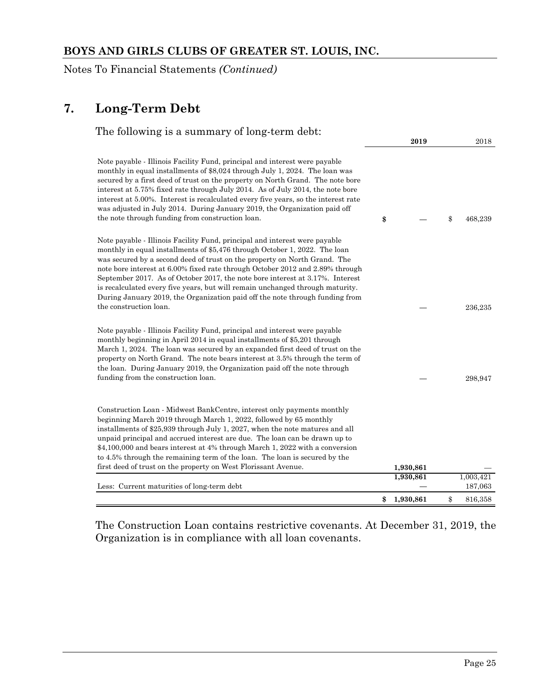Notes To Financial Statements *(Continued)*

# **7. Long-Term Debt**

|                                                                                                                                                                                                                                                                                                                                                                                                                                                                                                                                                                                                    | \$<br>1,930,861        | \$<br>816,358 |
|----------------------------------------------------------------------------------------------------------------------------------------------------------------------------------------------------------------------------------------------------------------------------------------------------------------------------------------------------------------------------------------------------------------------------------------------------------------------------------------------------------------------------------------------------------------------------------------------------|------------------------|---------------|
| Less: Current maturities of long-term debt                                                                                                                                                                                                                                                                                                                                                                                                                                                                                                                                                         |                        | 187,063       |
|                                                                                                                                                                                                                                                                                                                                                                                                                                                                                                                                                                                                    | 1,930,861<br>1,930,861 | 1,003,421     |
| Construction Loan - Midwest BankCentre, interest only payments monthly<br>beginning March 2019 through March 1, 2022, followed by 65 monthly<br>installments of \$25,939 through July 1, 2027, when the note matures and all<br>unpaid principal and accrued interest are due. The loan can be drawn up to<br>\$4,100,000 and bears interest at 4% through March 1, 2022 with a conversion<br>to 4.5% through the remaining term of the loan. The loan is secured by the<br>first deed of trust on the property on West Florissant Avenue.                                                         |                        |               |
| Note payable - Illinois Facility Fund, principal and interest were payable<br>monthly beginning in April 2014 in equal installments of \$5,201 through<br>March 1, 2024. The loan was secured by an expanded first deed of trust on the<br>property on North Grand. The note bears interest at 3.5% through the term of<br>the loan. During January 2019, the Organization paid off the note through<br>funding from the construction loan.                                                                                                                                                        |                        | 298,947       |
| Note payable - Illinois Facility Fund, principal and interest were payable<br>monthly in equal installments of \$5,476 through October 1, 2022. The loan<br>was secured by a second deed of trust on the property on North Grand. The<br>note bore interest at 6.00% fixed rate through October 2012 and 2.89% through<br>September 2017. As of October 2017, the note bore interest at 3.17%. Interest<br>is recalculated every five years, but will remain unchanged through maturity.<br>During January 2019, the Organization paid off the note through funding from<br>the construction loan. |                        | 236,235       |
| Note payable - Illinois Facility Fund, principal and interest were payable<br>monthly in equal installments of \$8,024 through July 1, 2024. The loan was<br>secured by a first deed of trust on the property on North Grand. The note bore<br>interest at 5.75% fixed rate through July 2014. As of July 2014, the note bore<br>interest at 5.00%. Interest is recalculated every five years, so the interest rate<br>was adjusted in July 2014. During January 2019, the Organization paid off<br>the note through funding from construction loan.                                               | \$                     | \$<br>468,239 |
| The following is a summary of long-term debt:                                                                                                                                                                                                                                                                                                                                                                                                                                                                                                                                                      | 2019                   | 2018          |

The Construction Loan contains restrictive covenants. At December 31, 2019, the Organization is in compliance with all loan covenants.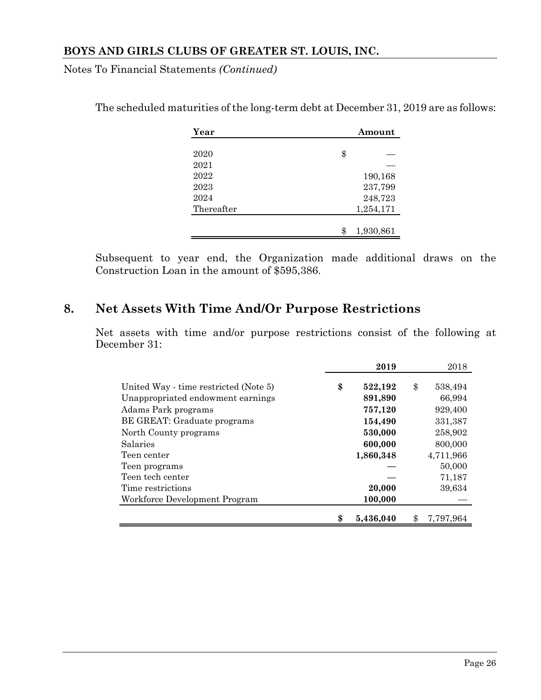Notes To Financial Statements *(Continued)*

| Year       | Amount          |  |  |  |
|------------|-----------------|--|--|--|
|            |                 |  |  |  |
| 2020       | \$              |  |  |  |
| 2021       |                 |  |  |  |
| 2022       | 190,168         |  |  |  |
| 2023       | 237,799         |  |  |  |
| 2024       | 248,723         |  |  |  |
| Thereafter | 1,254,171       |  |  |  |
|            |                 |  |  |  |
|            | \$<br>1,930,861 |  |  |  |

The scheduled maturities of the long-term debt at December 31, 2019 are as follows:

Subsequent to year end, the Organization made additional draws on the Construction Loan in the amount of \$595,386.

# **8. Net Assets With Time And/Or Purpose Restrictions**

Net assets with time and/or purpose restrictions consist of the following at December 31:

|                                       | 2019          | 2018          |
|---------------------------------------|---------------|---------------|
| United Way - time restricted (Note 5) | \$<br>522,192 | \$<br>538,494 |
| Unappropriated endowment earnings     | 891,890       | 66,994        |
| Adams Park programs                   | 757,120       | 929,400       |
| BE GREAT: Graduate programs           | 154,490       | 331,387       |
| North County programs                 | 530,000       | 258,902       |
| Salaries                              | 600,000       | 800,000       |
| Teen center                           | 1,860,348     | 4,711,966     |
| Teen programs                         |               | 50,000        |
| Teen tech center                      |               | 71,187        |
| Time restrictions                     | 20,000        | 39,634        |
| Workforce Development Program         | 100,000       |               |
|                                       | 5,436,040     | 7,797,964     |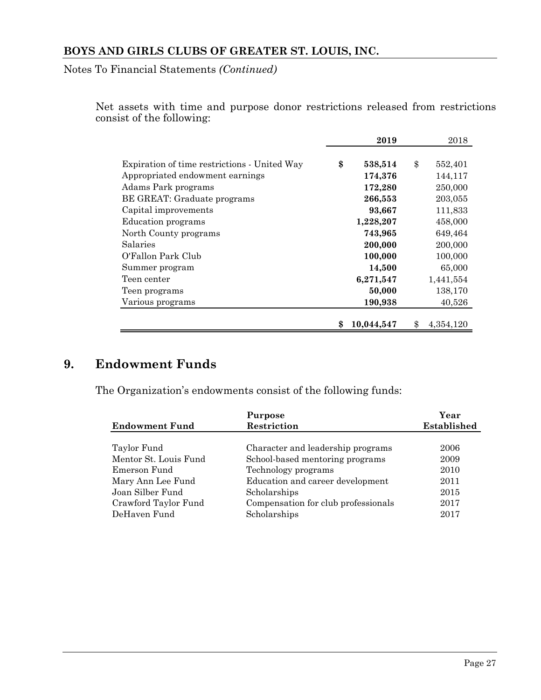Notes To Financial Statements *(Continued)*

Net assets with time and purpose donor restrictions released from restrictions consist of the following:

|                                              | 2019             | 2018            |
|----------------------------------------------|------------------|-----------------|
|                                              |                  |                 |
| Expiration of time restrictions - United Way | \$<br>538,514    | \$<br>552,401   |
| Appropriated endowment earnings              | 174,376          | 144,117         |
| Adams Park programs                          | 172,280          | 250,000         |
| BE GREAT: Graduate programs                  | 266,553          | 203,055         |
| Capital improvements                         | 93,667           | 111,833         |
| Education programs                           | 1,228,207        | 458,000         |
| North County programs                        | 743,965          | 649,464         |
| Salaries                                     | 200,000          | 200,000         |
| O'Fallon Park Club                           | 100,000          | 100,000         |
| Summer program                               | 14,500           | 65,000          |
| Teen center                                  | 6,271,547        | 1,441,554       |
| Teen programs                                | 50,000           | 138,170         |
| Various programs                             | 190,938          | 40,526          |
|                                              |                  |                 |
|                                              | \$<br>10,044,547 | \$<br>4,354,120 |

# **9. Endowment Funds**

The Organization's endowments consist of the following funds:

| <b>Endowment Fund</b> | <b>Purpose</b><br>Restriction       | Year        |
|-----------------------|-------------------------------------|-------------|
|                       |                                     | Established |
| Taylor Fund           | Character and leadership programs   | 2006        |
| Mentor St. Louis Fund | School-based mentoring programs     | 2009        |
| Emerson Fund          | Technology programs                 | 2010        |
| Mary Ann Lee Fund     | Education and career development    | 2011        |
| Joan Silber Fund      | Scholarships                        | 2015        |
| Crawford Taylor Fund  | Compensation for club professionals | 2017        |
| DeHaven Fund          | Scholarships                        | 2017        |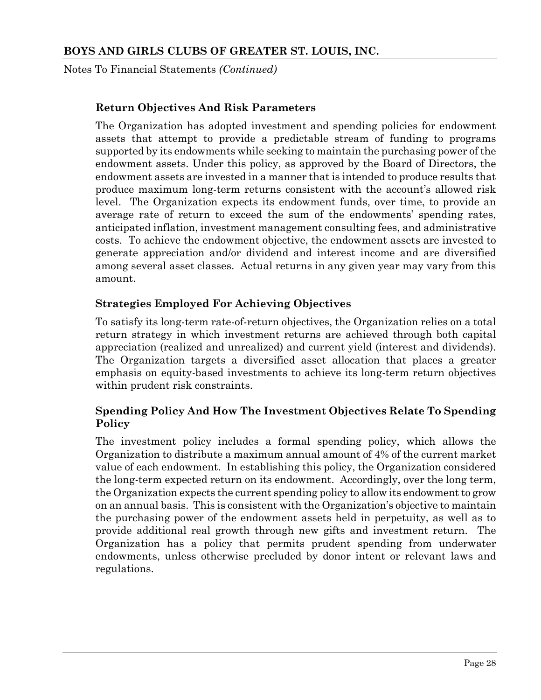Notes To Financial Statements *(Continued)*

#### **Return Objectives And Risk Parameters**

The Organization has adopted investment and spending policies for endowment assets that attempt to provide a predictable stream of funding to programs supported by its endowments while seeking to maintain the purchasing power of the endowment assets. Under this policy, as approved by the Board of Directors, the endowment assets are invested in a manner that is intended to produce results that produce maximum long-term returns consistent with the account's allowed risk level. The Organization expects its endowment funds, over time, to provide an average rate of return to exceed the sum of the endowments' spending rates, anticipated inflation, investment management consulting fees, and administrative costs. To achieve the endowment objective, the endowment assets are invested to generate appreciation and/or dividend and interest income and are diversified among several asset classes. Actual returns in any given year may vary from this amount.

#### **Strategies Employed For Achieving Objectives**

To satisfy its long-term rate-of-return objectives, the Organization relies on a total return strategy in which investment returns are achieved through both capital appreciation (realized and unrealized) and current yield (interest and dividends). The Organization targets a diversified asset allocation that places a greater emphasis on equity-based investments to achieve its long-term return objectives within prudent risk constraints.

#### **Spending Policy And How The Investment Objectives Relate To Spending Policy**

The investment policy includes a formal spending policy, which allows the Organization to distribute a maximum annual amount of 4% of the current market value of each endowment. In establishing this policy, the Organization considered the long-term expected return on its endowment. Accordingly, over the long term, the Organization expects the current spending policy to allow its endowment to grow on an annual basis. This is consistent with the Organization's objective to maintain the purchasing power of the endowment assets held in perpetuity, as well as to provide additional real growth through new gifts and investment return. The Organization has a policy that permits prudent spending from underwater endowments, unless otherwise precluded by donor intent or relevant laws and regulations.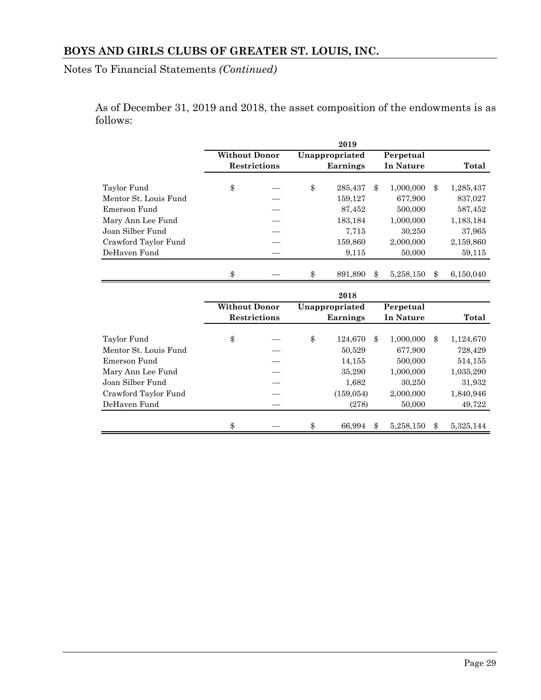Notes To Financial Statements *(Continued)*

As of December 31, 2019 and 2018, the asset composition of the endowments is as follows:

|                       |                      |                     | 2019            |                |           |                |           |
|-----------------------|----------------------|---------------------|-----------------|----------------|-----------|----------------|-----------|
|                       | <b>Without Donor</b> |                     | Unappropriated  |                | Perpetual |                |           |
|                       |                      | <b>Restrictions</b> | <b>Earnings</b> |                | In Nature |                | Total     |
| Taylor Fund           | \$                   |                     | \$<br>285,437   | $\mathbf{\Re}$ | 1,000,000 | \$             | 1,285,437 |
| Mentor St. Louis Fund |                      |                     | 159,127         |                | 677,900   |                | 837,027   |
| Emerson Fund          |                      |                     | 87,452          |                | 500,000   |                | 587,452   |
| Mary Ann Lee Fund     |                      |                     | 183,184         |                | 1,000,000 |                | 1,183,184 |
| Joan Silber Fund      |                      |                     | 7,715           |                | 30,250    |                | 37,965    |
| Crawford Taylor Fund  |                      |                     | 159,860         |                | 2,000,000 |                | 2,159,860 |
| DeHaven Fund          |                      |                     | 9,115           |                | 50,000    |                | 59,115    |
|                       | \$                   |                     | \$<br>891,890   | \$             | 5,258,150 | \$             | 6,150,040 |
|                       |                      |                     |                 |                |           |                |           |
|                       |                      |                     | 2018            |                |           |                |           |
|                       | <b>Without Donor</b> |                     | Unappropriated  |                | Perpetual |                |           |
|                       |                      | <b>Restrictions</b> | <b>Earnings</b> |                | In Nature |                | Total     |
| Taylor Fund           | \$                   |                     | \$<br>124,670   | $\mathbf{\Re}$ | 1,000,000 | $\mathbf{\Re}$ | 1,124,670 |
| Mentor St. Louis Fund |                      |                     | 50,529          |                | 677,900   |                | 728,429   |
| Emerson Fund          |                      |                     | 14,155          |                | 500,000   |                | 514,155   |
| Mary Ann Lee Fund     |                      |                     | 35,290          |                | 1,000,000 |                | 1,035,290 |
| Joan Silber Fund      |                      |                     | 1,682           |                | 30,250    |                | 31,932    |
| Crawford Taylor Fund  |                      |                     | (159, 054)      |                | 2,000,000 |                | 1,840,946 |
| DeHaven Fund          |                      |                     | (278)           |                | 50,000    |                | 49,722    |
|                       | \$                   |                     | \$<br>66,994    | \$             | 5,258,150 | \$             | 5,325,144 |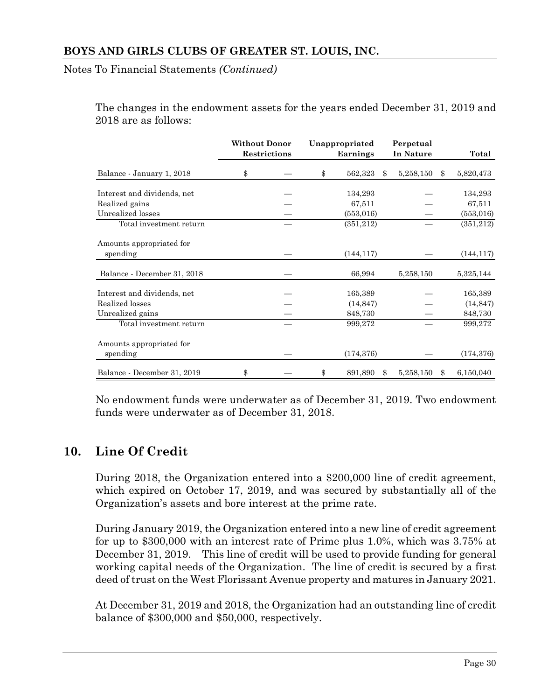Notes To Financial Statements *(Continued)*

The changes in the endowment assets for the years ended December 31, 2019 and 2018 are as follows:

|                             | <b>Without Donor</b> | Restrictions | Unappropriated<br>Earnings | Perpetual<br>In Nature | Total           |
|-----------------------------|----------------------|--------------|----------------------------|------------------------|-----------------|
| Balance - January 1, 2018   | \$                   |              | \$<br>562,323              | 5,258,150<br>\$        | \$<br>5,820,473 |
|                             |                      |              |                            |                        |                 |
| Interest and dividends, net |                      |              | 134,293                    |                        | 134,293         |
| Realized gains              |                      |              | 67,511                     |                        | 67,511          |
| Unrealized losses           |                      |              | (553, 016)                 |                        | (553, 016)      |
| Total investment return     |                      |              | (351, 212)                 |                        | (351, 212)      |
| Amounts appropriated for    |                      |              |                            |                        |                 |
| spending                    |                      |              | (144, 117)                 |                        | (144, 117)      |
| Balance - December 31, 2018 |                      |              | 66,994                     | 5,258,150              | 5,325,144       |
| Interest and dividends, net |                      |              | 165,389                    |                        | 165,389         |
| Realized losses             |                      |              | (14, 847)                  |                        | (14, 847)       |
| Unrealized gains            |                      |              | 848,730                    |                        | 848,730         |
| Total investment return     |                      |              | 999,272                    |                        | 999,272         |
| Amounts appropriated for    |                      |              |                            |                        |                 |
| spending                    |                      |              | (174, 376)                 |                        | (174, 376)      |
| Balance - December 31, 2019 | \$                   |              | \$<br>891,890              | 5,258,150<br>\$        | \$<br>6,150,040 |

No endowment funds were underwater as of December 31, 2019. Two endowment funds were underwater as of December 31, 2018.

# **10. Line Of Credit**

During 2018, the Organization entered into a \$200,000 line of credit agreement, which expired on October 17, 2019, and was secured by substantially all of the Organization's assets and bore interest at the prime rate.

During January 2019, the Organization entered into a new line of credit agreement for up to \$300,000 with an interest rate of Prime plus 1.0%, which was 3.75% at December 31, 2019. This line of credit will be used to provide funding for general working capital needs of the Organization. The line of credit is secured by a first deed of trust on the West Florissant Avenue property and matures in January 2021.

At December 31, 2019 and 2018, the Organization had an outstanding line of credit balance of \$300,000 and \$50,000, respectively.